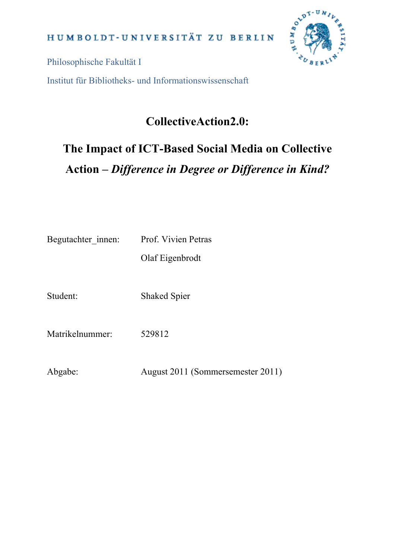HUMBOLDT-UNIVERSITÄT ZU BERLIN



Philosophische Fakultät I

Institut für Bibliotheks- und Informationswissenschaft

# **CollectiveAction2.0:**

# **The Impact of ICT-Based Social Media on Collective Action** *– Difference in Degree or Difference in Kind?*

| Begutachter innen: | <b>Prof.</b> Vivien Petras        |  |  |
|--------------------|-----------------------------------|--|--|
|                    | Olaf Eigenbrodt                   |  |  |
|                    |                                   |  |  |
| Student:           | <b>Shaked Spier</b>               |  |  |
|                    |                                   |  |  |
| Matrikelnummer:    | 529812                            |  |  |
|                    |                                   |  |  |
| Abgabe:            | August 2011 (Sommersemester 2011) |  |  |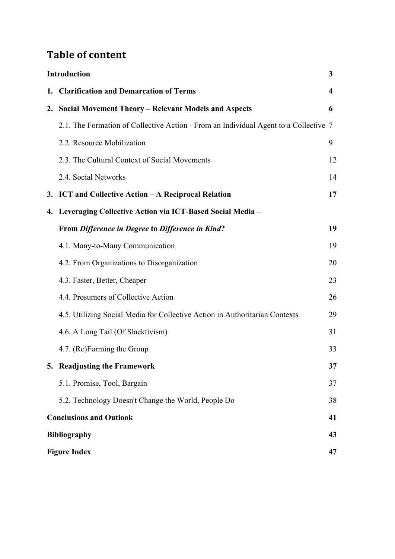# **Table of content**

|    | Introduction                                                                         | 3                       |  |  |
|----|--------------------------------------------------------------------------------------|-------------------------|--|--|
|    | 1. Clarification and Demarcation of Terms                                            | $\overline{\mathbf{4}}$ |  |  |
| 2. | <b>Social Movement Theory – Relevant Models and Aspects</b>                          | 6                       |  |  |
|    | 2.1. The Formation of Collective Action - From an Individual Agent to a Collective 7 |                         |  |  |
|    | 2.2. Resource Mobilization                                                           | 9                       |  |  |
|    | 2.3. The Cultural Context of Social Movements                                        | 12                      |  |  |
|    | 2.4. Social Networks                                                                 | 14                      |  |  |
|    | 3. ICT and Collective Action – A Reciprocal Relation                                 | 17                      |  |  |
|    | 4. Leveraging Collective Action via ICT-Based Social Media -                         |                         |  |  |
|    | From Difference in Degree to Difference in Kind?                                     | 19                      |  |  |
|    | 4.1. Many-to-Many Communication                                                      | 19                      |  |  |
|    | 4.2. From Organizations to Disorganization                                           | 20                      |  |  |
|    | 4.3. Faster, Better, Cheaper                                                         | 23                      |  |  |
|    | 4.4. Prosumers of Collective Action                                                  | 26                      |  |  |
|    | 4.5. Utilizing Social Media for Collective Action in Authoritarian Contexts          | 29                      |  |  |
|    | 4.6. A Long Tail (Of Slacktivism)                                                    | 31                      |  |  |
|    | 4.7. (Re)Forming the Group                                                           | 33                      |  |  |
|    | 5. Readjusting the Framework                                                         | 37                      |  |  |
|    | 5.1. Promise, Tool, Bargain                                                          | 37                      |  |  |
|    | 5.2. Technology Doesn't Change the World, People Do                                  | 38                      |  |  |
|    | <b>Conclusions and Outlook</b>                                                       | 41                      |  |  |
|    | <b>Bibliography</b>                                                                  |                         |  |  |
|    | <b>Figure Index</b><br>47                                                            |                         |  |  |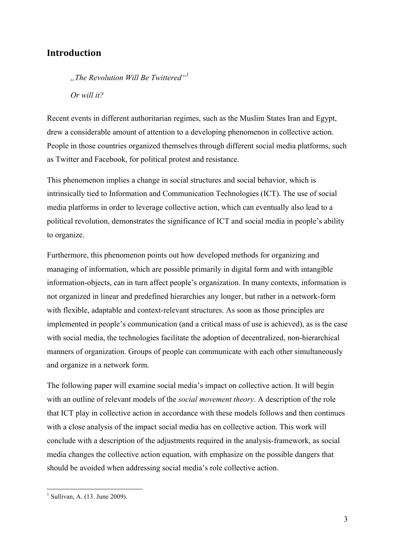# **Introduction**

*"The Revolution Will Be Twittered"<sup>1</sup> Or will it?*

Recent events in different authoritarian regimes, such as the Muslim States Iran and Egypt, drew a considerable amount of attention to a developing phenomenon in collective action. People in those countries organized themselves through different social media platforms, such as Twitter and Facebook, for political protest and resistance.

This phenomenon implies a change in social structures and social behavior, which is intrinsically tied to Information and Communication Technologies (ICT). The use of social media platforms in order to leverage collective action, which can eventually also lead to a political revolution, demonstrates the significance of ICT and social media in people's ability to organize.

Furthermore, this phenomenon points out how developed methods for organizing and managing of information, which are possible primarily in digital form and with intangible information-objects, can in turn affect people's organization. In many contexts, information is not organized in linear and predefined hierarchies any longer, but rather in a network-form with flexible, adaptable and context-relevant structures. As soon as those principles are implemented in people's communication (and a critical mass of use is achieved), as is the case with social media, the technologies facilitate the adoption of decentralized, non-hierarchical manners of organization. Groups of people can communicate with each other simultaneously and organize in a network form.

The following paper will examine social media's impact on collective action. It will begin with an outline of relevant models of the *social movement theory*. A description of the role that ICT play in collective action in accordance with these models follows and then continues with a close analysis of the impact social media has on collective action. This work will conclude with a description of the adjustments required in the analysis-framework, as social media changes the collective action equation, with emphasize on the possible dangers that should be avoided when addressing social media's role collective action.

 $<sup>1</sup>$  Sullivan, A. (13. June 2009).</sup>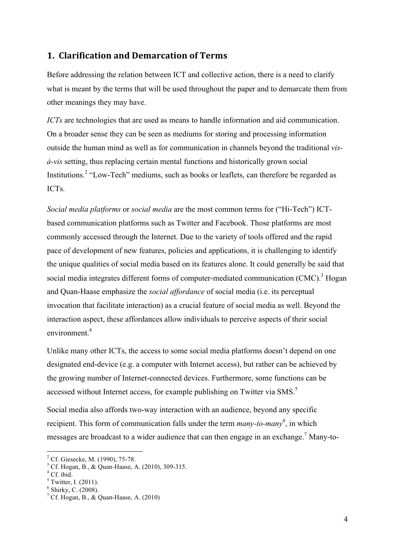# **1. Clarification and Demarcation of Terms**

Before addressing the relation between ICT and collective action, there is a need to clarify what is meant by the terms that will be used throughout the paper and to demarcate them from other meanings they may have.

*ICTs* are technologies that are used as means to handle information and aid communication. On a broader sense they can be seen as mediums for storing and processing information outside the human mind as well as for communication in channels beyond the traditional *visà-vis* setting, thus replacing certain mental functions and historically grown social Institutions.<sup>2</sup> "Low-Tech" mediums, such as books or leaflets, can therefore be regarded as ICTs.

*Social media platforms* or *social media* are the most common terms for ("Hi-Tech") ICTbased communication platforms such as Twitter and Facebook. Those platforms are most commonly accessed through the Internet. Due to the variety of tools offered and the rapid pace of development of new features, policies and applications, it is challenging to identify the unique qualities of social media based on its features alone. It could generally be said that social media integrates different forms of computer-mediated communication  $(CMC)^3$  Hogan and Quan-Haase emphasize the *social affordance* of social media (i.e. its perceptual invocation that facilitate interaction) as a crucial feature of social media as well. Beyond the interaction aspect, these affordances allow individuals to perceive aspects of their social environment<sup>4</sup>

Unlike many other ICTs, the access to some social media platforms doesn't depend on one designated end-device (e.g. a computer with Internet access), but rather can be achieved by the growing number of Internet-connected devices. Furthermore, some functions can be accessed without Internet access, for example publishing on Twitter via SMS.<sup>5</sup>

Social media also affords two-way interaction with an audience, beyond any specific recipient. This form of communication falls under the term *many-to-many*<sup>6</sup>, in which messages are broadcast to a wider audience that can then engage in an exchange.<sup>7</sup> Many-to-

 $\frac{1}{2}$ 

<sup>&</sup>lt;sup>2</sup> Cf. Giesecke, M. (1990), 75-78.<br><sup>3</sup> Cf. Hogan, B., & Quan-Haase, A. (2010), 309-315.

 $4$  Cf. ibid.

 $<sup>5</sup>$  Twitter, I. (2011).</sup>

 $6$  Shirky, C. (2008).

<sup>&</sup>lt;sup>7</sup> Cf. Hogan, B., & Quan-Haase, A. (2010)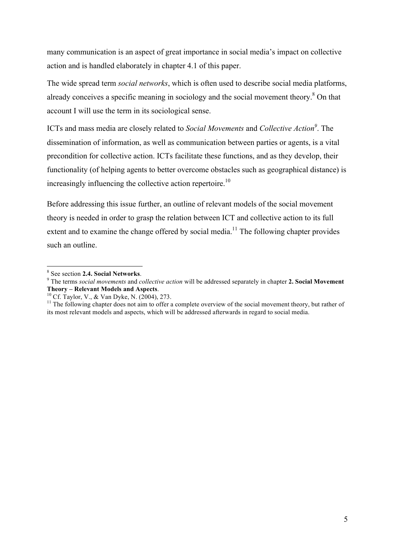many communication is an aspect of great importance in social media's impact on collective action and is handled elaborately in chapter 4.1 of this paper.

The wide spread term *social networks*, which is often used to describe social media platforms, already conceives a specific meaning in sociology and the social movement theory. $8$  On that account I will use the term in its sociological sense.

ICTs and mass media are closely related to *Social Movements* and *Collective Action9* . The dissemination of information, as well as communication between parties or agents, is a vital precondition for collective action. ICTs facilitate these functions, and as they develop, their functionality (of helping agents to better overcome obstacles such as geographical distance) is increasingly influencing the collective action repertoire.<sup>10</sup>

Before addressing this issue further, an outline of relevant models of the social movement theory is needed in order to grasp the relation between ICT and collective action to its full extent and to examine the change offered by social media.<sup>11</sup> The following chapter provides such an outline.

 <sup>8</sup> See section **2.4. Social Networks**. <sup>9</sup>

The terms *social movements* and *collective action* will be addressed separately in chapter **2. Social Movement Theory – Relevant Models and Aspects.**<br><sup>10</sup> Cf. Taylor, V., & Van Dyke, N. (2004), 273.<br><sup>11</sup> The following chapter does not aim to offer a complete overview of the social movement theory, but rather of

its most relevant models and aspects, which will be addressed afterwards in regard to social media.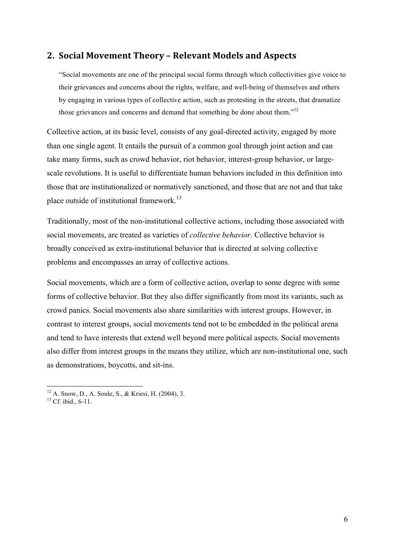# **2. Social Movement Theory - Relevant Models and Aspects**

"Social movements are one of the principal social forms through which collectivities give voice to their grievances and concerns about the rights, welfare, and well-being of themselves and others by engaging in various types of collective action, such as protesting in the streets, that dramatize those grievances and concerns and demand that something be done about them."<sup>12</sup>

Collective action, at its basic level, consists of any goal-directed activity, engaged by more than one single agent. It entails the pursuit of a common goal through joint action and can take many forms, such as crowd behavior, riot behavior, interest-group behavior, or largescale revolutions. It is useful to differentiate human behaviors included in this definition into those that are institutionalized or normatively sanctioned, and those that are not and that take place outside of institutional framework.<sup>13</sup>

Traditionally, most of the non-institutional collective actions, including those associated with social movements, are treated as varieties of *collective behavior*. Collective behavior is broadly conceived as extra-institutional behavior that is directed at solving collective problems and encompasses an array of collective actions.

Social movements, which are a form of collective action, overlap to some degree with some forms of collective behavior. But they also differ significantly from most its variants, such as crowd panics. Social movements also share similarities with interest groups. However, in contrast to interest groups, social movements tend not to be embedded in the political arena and tend to have interests that extend well beyond mere political aspects. Social movements also differ from interest groups in the means they utilize, which are non-institutional one, such as demonstrations, boycotts, and sit-ins.

<sup>&</sup>lt;sup>12</sup> A. Snow, D., A. Soule, S., & Kriesi, H. (2004), 3.<br><sup>13</sup> Cf. ibid., 6-11.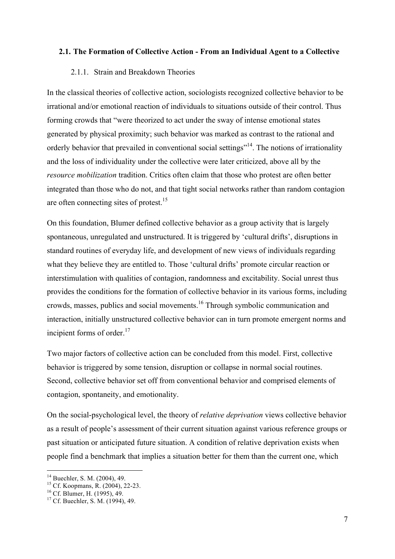## **2.1. The Formation of Collective Action - From an Individual Agent to a Collective**

### 2.1.1. Strain and Breakdown Theories

In the classical theories of collective action, sociologists recognized collective behavior to be irrational and/or emotional reaction of individuals to situations outside of their control. Thus forming crowds that "were theorized to act under the sway of intense emotional states generated by physical proximity; such behavior was marked as contrast to the rational and orderly behavior that prevailed in conventional social settings"<sup>14</sup>. The notions of irrationality and the loss of individuality under the collective were later criticized, above all by the *resource mobilization* tradition. Critics often claim that those who protest are often better integrated than those who do not, and that tight social networks rather than random contagion are often connecting sites of protest.<sup>15</sup>

On this foundation, Blumer defined collective behavior as a group activity that is largely spontaneous, unregulated and unstructured. It is triggered by 'cultural drifts', disruptions in standard routines of everyday life, and development of new views of individuals regarding what they believe they are entitled to. Those 'cultural drifts' promote circular reaction or interstimulation with qualities of contagion, randomness and excitability. Social unrest thus provides the conditions for the formation of collective behavior in its various forms, including crowds, masses, publics and social movements. 16 Through symbolic communication and interaction, initially unstructured collective behavior can in turn promote emergent norms and incipient forms of order.<sup>17</sup>

Two major factors of collective action can be concluded from this model. First, collective behavior is triggered by some tension, disruption or collapse in normal social routines. Second, collective behavior set off from conventional behavior and comprised elements of contagion, spontaneity, and emotionality.

On the social-psychological level, the theory of *relative deprivation* views collective behavior as a result of people's assessment of their current situation against various reference groups or past situation or anticipated future situation. A condition of relative deprivation exists when people find a benchmark that implies a situation better for them than the current one, which

<sup>&</sup>lt;sup>14</sup> Buechler, S. M. (2004), 49.<br><sup>15</sup> Cf. Koopmans, R. (2004), 22-23.<br><sup>16</sup> Cf. Blumer, H. (1995), 49.<br><sup>17</sup> Cf. Buechler, S. M. (1994), 49.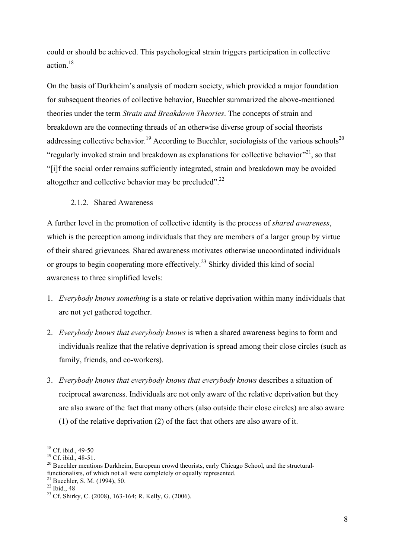could or should be achieved. This psychological strain triggers participation in collective action. 18

On the basis of Durkheim's analysis of modern society, which provided a major foundation for subsequent theories of collective behavior, Buechler summarized the above-mentioned theories under the term *Strain and Breakdown Theories*. The concepts of strain and breakdown are the connecting threads of an otherwise diverse group of social theorists addressing collective behavior.<sup>19</sup> According to Buechler, sociologists of the various schools<sup>20</sup> "regularly invoked strain and breakdown as explanations for collective behavior"<sup>21</sup>, so that "[i]f the social order remains sufficiently integrated, strain and breakdown may be avoided altogether and collective behavior may be precluded".<sup>22</sup>

# 2.1.2. Shared Awareness

A further level in the promotion of collective identity is the process of *shared awareness*, which is the perception among individuals that they are members of a larger group by virtue of their shared grievances. Shared awareness motivates otherwise uncoordinated individuals or groups to begin cooperating more effectively.<sup>23</sup> Shirky divided this kind of social awareness to three simplified levels:

- 1. *Everybody knows something* is a state or relative deprivation within many individuals that are not yet gathered together.
- 2. *Everybody knows that everybody knows* is when a shared awareness begins to form and individuals realize that the relative deprivation is spread among their close circles (such as family, friends, and co-workers).
- 3. *Everybody knows that everybody knows that everybody knows* describes a situation of reciprocal awareness. Individuals are not only aware of the relative deprivation but they are also aware of the fact that many others (also outside their close circles) are also aware (1) of the relative deprivation (2) of the fact that others are also aware of it.

<sup>&</sup>lt;sup>18</sup> Cf. ibid., 49-50<br><sup>19</sup> Cf. ibid., 48-51.<br><sup>20</sup> Buechler mentions Durkheim, European crowd theorists, early Chicago School, and the structuralfunctionalists, of which not all were completely or equally represented.<br><sup>21</sup> Buechler, S. M. (1994), 50.

<sup>&</sup>lt;sup>22</sup> Ibid., 48 <sup>23</sup> Cf. Shirky, C. (2008), 163-164; R. Kelly, G. (2006).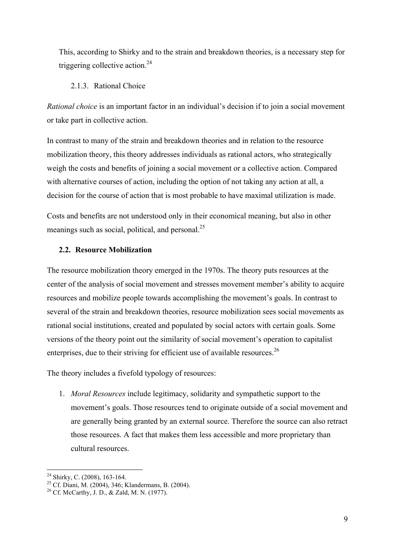This, according to Shirky and to the strain and breakdown theories, is a necessary step for triggering collective action. 24

# 2.1.3. Rational Choice

*Rational choice* is an important factor in an individual's decision if to join a social movement or take part in collective action.

In contrast to many of the strain and breakdown theories and in relation to the resource mobilization theory, this theory addresses individuals as rational actors, who strategically weigh the costs and benefits of joining a social movement or a collective action. Compared with alternative courses of action, including the option of not taking any action at all, a decision for the course of action that is most probable to have maximal utilization is made.

Costs and benefits are not understood only in their economical meaning, but also in other meanings such as social, political, and personal.<sup>25</sup>

# **2.2. Resource Mobilization**

The resource mobilization theory emerged in the 1970s. The theory puts resources at the center of the analysis of social movement and stresses movement member's ability to acquire resources and mobilize people towards accomplishing the movement's goals. In contrast to several of the strain and breakdown theories, resource mobilization sees social movements as rational social institutions, created and populated by social actors with certain goals. Some versions of the theory point out the similarity of social movement's operation to capitalist enterprises, due to their striving for efficient use of available resources.<sup>26</sup>

The theory includes a fivefold typology of resources:

1. *Moral Resources* include legitimacy, solidarity and sympathetic support to the movement's goals. Those resources tend to originate outside of a social movement and are generally being granted by an external source. Therefore the source can also retract those resources. A fact that makes them less accessible and more proprietary than cultural resources.

<sup>&</sup>lt;sup>24</sup> Shirky, C. (2008), 163-164.<br><sup>25</sup> Cf. Diani, M. (2004), 346; Klandermans, B. (2004).<br><sup>26</sup> Cf. McCarthy, J. D., & Zald, M. N. (1977).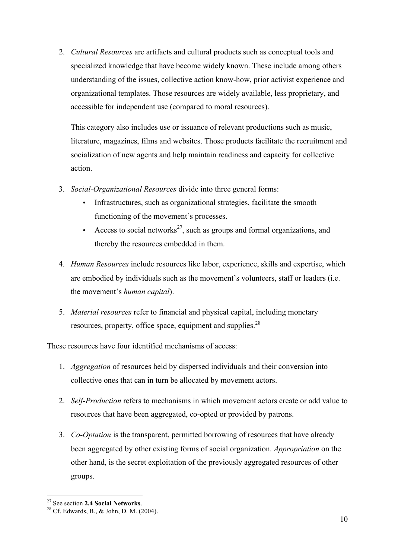2. *Cultural Resources* are artifacts and cultural products such as conceptual tools and specialized knowledge that have become widely known. These include among others understanding of the issues, collective action know-how, prior activist experience and organizational templates. Those resources are widely available, less proprietary, and accessible for independent use (compared to moral resources).

This category also includes use or issuance of relevant productions such as music, literature, magazines, films and websites. Those products facilitate the recruitment and socialization of new agents and help maintain readiness and capacity for collective action.

- 3. *Social-Organizational Resources* divide into three general forms:
	- Infrastructures, such as organizational strategies, facilitate the smooth functioning of the movement's processes.
	- Access to social networks<sup>27</sup>, such as groups and formal organizations, and thereby the resources embedded in them.
- 4. *Human Resources* include resources like labor, experience, skills and expertise, which are embodied by individuals such as the movement's volunteers, staff or leaders (i.e. the movement's *human capital*).
- 5. *Material resources* refer to financial and physical capital, including monetary resources, property, office space, equipment and supplies.<sup>28</sup>

These resources have four identified mechanisms of access:

- 1. *Aggregation* of resources held by dispersed individuals and their conversion into collective ones that can in turn be allocated by movement actors.
- 2. *Self-Production* refers to mechanisms in which movement actors create or add value to resources that have been aggregated, co-opted or provided by patrons.
- 3. *Co-Optation* is the transparent, permitted borrowing of resources that have already been aggregated by other existing forms of social organization. *Appropriation* on the other hand, is the secret exploitation of the previously aggregated resources of other groups.

<sup>&</sup>lt;sup>27</sup> See section **2.4 Social Networks**.<br><sup>28</sup> Cf. Edwards, B., & John, D. M. (2004).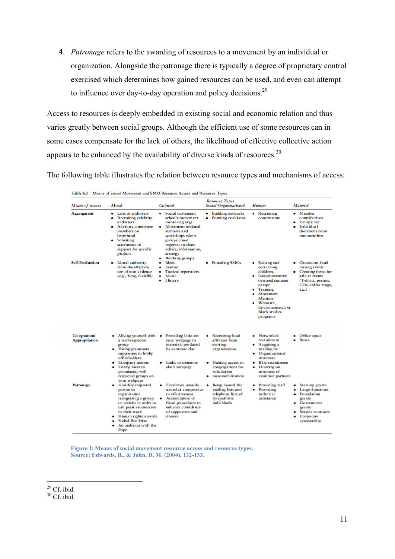4. *Patronage* refers to the awarding of resources to a movement by an individual or organization. Alongside the patronage there is typically a degree of proprietary control exercised which determines how gained resources can be used, and even can attempt to influence over day-to-day operation and policy decisions.<sup>29</sup>

Access to resources is deeply embedded in existing social and economic relation and thus varies greatly between social groups. Although the efficient use of some resources can in some cases compensate for the lack of others, the likelihood of effective collective action appears to be enhanced by the availability of diverse kinds of resources.<sup>30</sup>

The following table illustrates the relation between resource types and mechanisms of access:

| <b>Means of Access</b>        | Moral                                                                                                                                                                                           | Cultural                                                                                                                                                                                                      | <b>Resource Types</b><br>Social-Organizational                                                 | Human                                                                                                                                                                                                         | Material                                                                                                                                                |
|-------------------------------|-------------------------------------------------------------------------------------------------------------------------------------------------------------------------------------------------|---------------------------------------------------------------------------------------------------------------------------------------------------------------------------------------------------------------|------------------------------------------------------------------------------------------------|---------------------------------------------------------------------------------------------------------------------------------------------------------------------------------------------------------------|---------------------------------------------------------------------------------------------------------------------------------------------------------|
| <b>Aggregation</b>            | Lists of endorsers<br>٠<br><b>Recruiting celebrity</b><br>٠<br>endorsers<br>• Advisory committee<br>members on<br>letterhead<br>Soliciting<br>statements of<br>support for specific<br>projects | Social movement<br>schools movement<br>mentoring orgs.<br>Movement initiated<br>۰<br>summits and<br>workshops where<br>groups come<br>together to share<br>advice, information,<br>strategy<br>Working groups | <b>Building networks</b><br><b>Forming coalitions</b><br>٠                                     | <b>Recruiting</b><br>constituents                                                                                                                                                                             | Member<br>$\bullet$<br>contributions<br>Emily's list<br>۰<br>Individual<br>$\bullet$<br>donations from<br>non-members                                   |
| <b>Self-Production</b>        | Moral authority<br>۰<br>from the effective<br>use of non-violence<br>(e.g., King, Gandhi)                                                                                                       | <b>Ideas</b><br>Frames<br><b>Tactical repertoires</b><br><b>Music</b><br><b>History</b><br>٠                                                                                                                  | • Founding SMOs                                                                                | Raising and<br>٠<br>socializing<br>children.<br>Issue/movement<br>oriented summer<br>camps<br>• Training<br>Movement<br><b>Mentors</b><br>• Women's,<br>Environmental, or<br><b>Black studies</b><br>programs | <b>Grassroots</b> fund<br>۰<br>raising events<br>Creating items for<br>$\bullet$<br>sale at events<br>(T-shirts, posters,<br>CDs, coffee mugs,<br>etc.) |
| Co-optation/<br>Appropriation | Allying yourself with $\bullet$<br>a well-respected<br>group<br>• Hiring grassroots<br>supporters to lobby<br>officeholders<br>Company unions                                                   | Providing links on<br>your webpage to<br>materials produced<br>by someone else<br>Links to someone                                                                                                            | Recruiting local<br>٠<br>affiliates from<br>existing<br>organizations<br>Gaining access to     | Networked<br>۰<br>recruitment<br>Acquiring a<br>mailing list<br>Organizational<br>members<br><b>Bloc</b> recruitment                                                                                          | Office space<br><b>Buses</b><br>۰                                                                                                                       |
|                               | Listing links to<br>٠<br>prominent, well<br>respected groups on<br>your webpage                                                                                                                 | else's webpage                                                                                                                                                                                                | congregations for<br>solicitation<br>mesomobilization<br>٠                                     | Drawing on<br>٠<br>members of<br>coalition partners                                                                                                                                                           |                                                                                                                                                         |
| Patronage                     | A widely respected<br>٠<br>person or<br>organization<br>recognizing a group<br>or activist in order to<br>call positive attention<br>to their work<br>Human rights awards<br>Nobel Pax Prize    | <b>Excellence</b> awards<br>aimed at competence<br>or effectiveness<br>Accreditation of<br>fiscal procedures to<br>enhance confidence<br>of supporters and<br>donors                                          | Being loaned the<br>٠<br>mailing lists and<br>telephone lists of<br>sympathetic<br>individuals | Providing staff<br>Providing<br>technical<br>assistance                                                                                                                                                       | Start-up grants<br>Large donations<br>Foundation<br>grants<br>Government<br>grants<br>Service contracts<br>Corporate<br>sponsorship                     |
|                               | An audience with the<br>Pope                                                                                                                                                                    |                                                                                                                                                                                                               |                                                                                                |                                                                                                                                                                                                               |                                                                                                                                                         |

Table 6.1 Means of Social Movement and SMO Resource Access and Resource Types

**Figure I: Means of social movement resource access and resource types. Source: Edwards, B., & John, D. M. (2004), 132-133.** 

 $29$  Cf. ibid.

 $30$  Cf. ibid.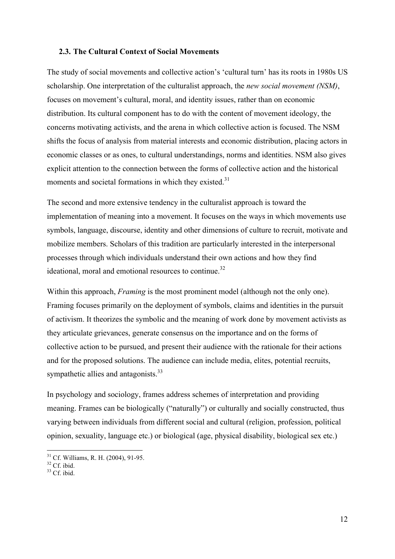# **2.3. The Cultural Context of Social Movements**

The study of social movements and collective action's 'cultural turn' has its roots in 1980s US scholarship. One interpretation of the culturalist approach, the *new social movement (NSM)*, focuses on movement's cultural, moral, and identity issues, rather than on economic distribution. Its cultural component has to do with the content of movement ideology, the concerns motivating activists, and the arena in which collective action is focused. The NSM shifts the focus of analysis from material interests and economic distribution, placing actors in economic classes or as ones, to cultural understandings, norms and identities. NSM also gives explicit attention to the connection between the forms of collective action and the historical moments and societal formations in which they existed.<sup>31</sup>

The second and more extensive tendency in the culturalist approach is toward the implementation of meaning into a movement. It focuses on the ways in which movements use symbols, language, discourse, identity and other dimensions of culture to recruit, motivate and mobilize members. Scholars of this tradition are particularly interested in the interpersonal processes through which individuals understand their own actions and how they find ideational, moral and emotional resources to continue.<sup>32</sup>

Within this approach, *Framing* is the most prominent model (although not the only one). Framing focuses primarily on the deployment of symbols, claims and identities in the pursuit of activism. It theorizes the symbolic and the meaning of work done by movement activists as they articulate grievances, generate consensus on the importance and on the forms of collective action to be pursued, and present their audience with the rationale for their actions and for the proposed solutions. The audience can include media, elites, potential recruits, sympathetic allies and antagonists.<sup>33</sup>

In psychology and sociology, frames address schemes of interpretation and providing meaning. Frames can be biologically ("naturally") or culturally and socially constructed, thus varying between individuals from different social and cultural (religion, profession, political opinion, sexuality, language etc.) or biological (age, physical disability, biological sex etc.)

 $31^{31}$  Cf. Williams, R. H. (2004), 91-95.<br> $32^{32}$  Cf. ibid.

 $33$  Cf. ibid.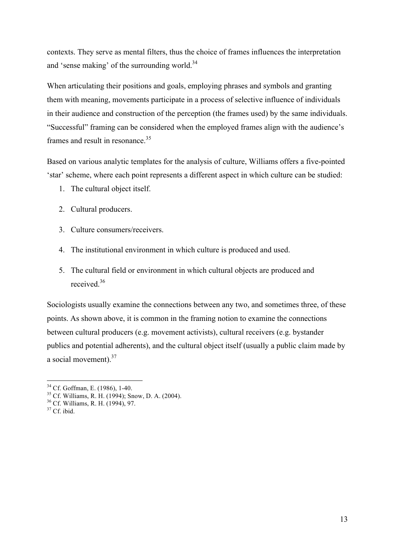contexts. They serve as mental filters, thus the choice of frames influences the interpretation and 'sense making' of the surrounding world.<sup>34</sup>

When articulating their positions and goals, employing phrases and symbols and granting them with meaning, movements participate in a process of selective influence of individuals in their audience and construction of the perception (the frames used) by the same individuals. "Successful" framing can be considered when the employed frames align with the audience's frames and result in resonance.<sup>35</sup>

Based on various analytic templates for the analysis of culture, Williams offers a five-pointed 'star' scheme, where each point represents a different aspect in which culture can be studied:

- 1. The cultural object itself.
- 2. Cultural producers.
- 3. Culture consumers/receivers.
- 4. The institutional environment in which culture is produced and used.
- 5. The cultural field or environment in which cultural objects are produced and received. 36

Sociologists usually examine the connections between any two, and sometimes three, of these points. As shown above, it is common in the framing notion to examine the connections between cultural producers (e.g. movement activists), cultural receivers (e.g. bystander publics and potential adherents), and the cultural object itself (usually a public claim made by a social movement). $37$ 

- 
- 

<sup>&</sup>lt;sup>34</sup> Cf. Goffman, E. (1986), 1-40.<br><sup>35</sup> Cf. Williams, R. H. (1994); Snow, D. A. (2004).<br><sup>36</sup> Cf. Williams, R. H. (1994), 97.<br><sup>37</sup> Cf. ibid.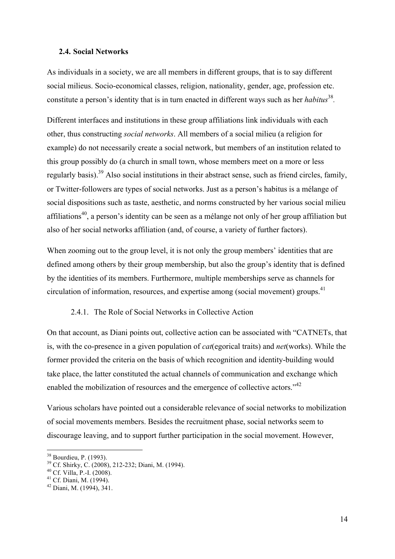#### **2.4. Social Networks**

As individuals in a society, we are all members in different groups, that is to say different social milieus. Socio-economical classes, religion, nationality, gender, age, profession etc. constitute a person's identity that is in turn enacted in different ways such as her *habitus* 38*.*

Different interfaces and institutions in these group affiliations link individuals with each other, thus constructing *social networks*. All members of a social milieu (a religion for example) do not necessarily create a social network, but members of an institution related to this group possibly do (a church in small town, whose members meet on a more or less regularly basis).<sup>39</sup> Also social institutions in their abstract sense, such as friend circles, family, or Twitter-followers are types of social networks. Just as a person's habitus is a mélange of social dispositions such as taste, aesthetic, and norms constructed by her various social milieu affiliations<sup>40</sup>, a person's identity can be seen as a mélange not only of her group affiliation but also of her social networks affiliation (and, of course, a variety of further factors).

When zooming out to the group level, it is not only the group members' identities that are defined among others by their group membership, but also the group's identity that is defined by the identities of its members. Furthermore, multiple memberships serve as channels for circulation of information, resources, and expertise among (social movement) groups.<sup>41</sup>

# 2.4.1. The Role of Social Networks in Collective Action

On that account, as Diani points out, collective action can be associated with "CATNETs, that is, with the co-presence in a given population of *cat*(egorical traits) and *net*(works). While the former provided the criteria on the basis of which recognition and identity-building would take place, the latter constituted the actual channels of communication and exchange which enabled the mobilization of resources and the emergence of collective actors."<sup>42</sup>

Various scholars have pointed out a considerable relevance of social networks to mobilization of social movements members. Besides the recruitment phase, social networks seem to discourage leaving, and to support further participation in the social movement. However,

<sup>&</sup>lt;sup>38</sup> Bourdieu, P. (1993).<br><sup>39</sup> Cf. Shirky, C. (2008), 212-232; Diani, M. (1994).<br><sup>40</sup> Cf. Villa, P.-I. (2008).<br><sup>41</sup> Cf. Diani, M. (1994). 42<br><sup>42</sup> Diani. M. (1994). 341.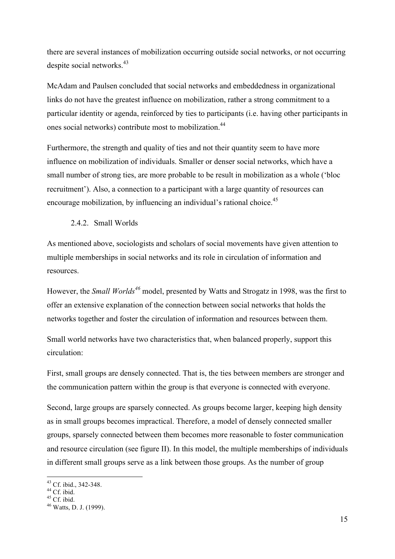there are several instances of mobilization occurring outside social networks, or not occurring despite social networks. 43

McAdam and Paulsen concluded that social networks and embeddedness in organizational links do not have the greatest influence on mobilization, rather a strong commitment to a particular identity or agenda, reinforced by ties to participants (i.e. having other participants in ones social networks) contribute most to mobilization.<sup>44</sup>

Furthermore, the strength and quality of ties and not their quantity seem to have more influence on mobilization of individuals. Smaller or denser social networks, which have a small number of strong ties, are more probable to be result in mobilization as a whole ('bloc recruitment'). Also, a connection to a participant with a large quantity of resources can encourage mobilization, by influencing an individual's rational choice.<sup>45</sup>

2.4.2. Small Worlds

As mentioned above, sociologists and scholars of social movements have given attention to multiple memberships in social networks and its role in circulation of information and resources.

However, the *Small Worlds <sup>46</sup>* model, presented by Watts and Strogatz in 1998, was the first to offer an extensive explanation of the connection between social networks that holds the networks together and foster the circulation of information and resources between them.

Small world networks have two characteristics that, when balanced properly, support this circulation:

First, small groups are densely connected. That is, the ties between members are stronger and the communication pattern within the group is that everyone is connected with everyone.

Second, large groups are sparsely connected. As groups become larger, keeping high density as in small groups becomes impractical. Therefore, a model of densely connected smaller groups, sparsely connected between them becomes more reasonable to foster communication and resource circulation (see figure II). In this model, the multiple memberships of individuals in different small groups serve as a link between those groups. As the number of group

<sup>&</sup>lt;sup>43</sup> Cf. ibid., 342-348.

 $^{44}$  Cf. ibid.<br> $^{45}$  Cf. ibid.

 $46$  Watts, D. J. (1999).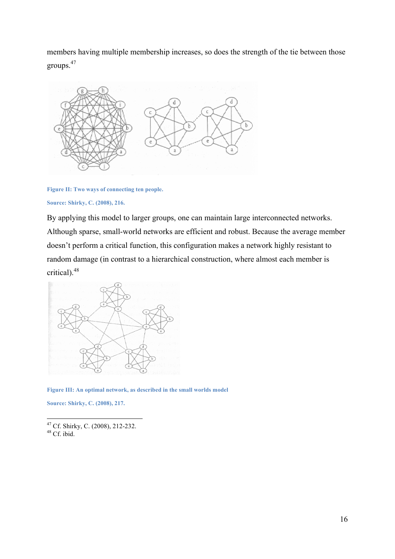members having multiple membership increases, so does the strength of the tie between those groups.<sup>47</sup>



**Figure II: Two ways of connecting ten people.**

#### **Source: Shirky, C. (2008), 216.**

By applying this model to larger groups, one can maintain large interconnected networks. Although sparse, small-world networks are efficient and robust. Because the average member doesn't perform a critical function, this configuration makes a network highly resistant to random damage (in contrast to a hierarchical construction, where almost each member is critical).<sup>48</sup>



**Figure III: An optimal network, as described in the small worlds model**

**Source: Shirky, C. (2008), 217.**

 $\overline{a}$ <sup>47</sup> Cf. Shirky, C. (2008), 212-232.<br><sup>48</sup> Cf. ibid.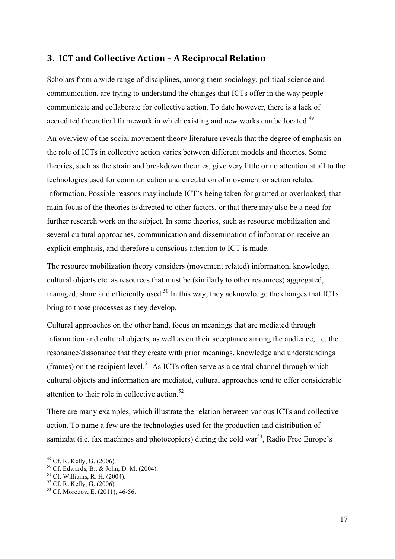# **3. ICT and Collective Action – A Reciprocal Relation**

Scholars from a wide range of disciplines, among them sociology, political science and communication, are trying to understand the changes that ICTs offer in the way people communicate and collaborate for collective action. To date however, there is a lack of accredited theoretical framework in which existing and new works can be located.<sup>49</sup>

An overview of the social movement theory literature reveals that the degree of emphasis on the role of ICTs in collective action varies between different models and theories. Some theories, such as the strain and breakdown theories, give very little or no attention at all to the technologies used for communication and circulation of movement or action related information. Possible reasons may include ICT's being taken for granted or overlooked, that main focus of the theories is directed to other factors, or that there may also be a need for further research work on the subject. In some theories, such as resource mobilization and several cultural approaches, communication and dissemination of information receive an explicit emphasis, and therefore a conscious attention to ICT is made.

The resource mobilization theory considers (movement related) information, knowledge, cultural objects etc. as resources that must be (similarly to other resources) aggregated, managed, share and efficiently used.<sup>50</sup> In this way, they acknowledge the changes that ICTs bring to those processes as they develop.

Cultural approaches on the other hand, focus on meanings that are mediated through information and cultural objects, as well as on their acceptance among the audience, i.e. the resonance/dissonance that they create with prior meanings, knowledge and understandings (frames) on the recipient level.<sup>51</sup> As ICTs often serve as a central channel through which cultural objects and information are mediated, cultural approaches tend to offer considerable attention to their role in collective action.<sup>52</sup>

There are many examples, which illustrate the relation between various ICTs and collective action. To name a few are the technologies used for the production and distribution of samizdat (i.e. fax machines and photocopiers) during the cold war<sup>53</sup>, Radio Free Europe's

<sup>&</sup>lt;sup>49</sup> Cf. R. Kelly, G. (2006).<br><sup>50</sup> Cf. Edwards, B., & John, D. M. (2004).<br><sup>51</sup> Cf. Williams, R. H. (2004).<br><sup>52</sup> Cf. R. Kelly, G. (2006).<br><sup>53</sup> Cf. Morozov, E. (2011), 46-56.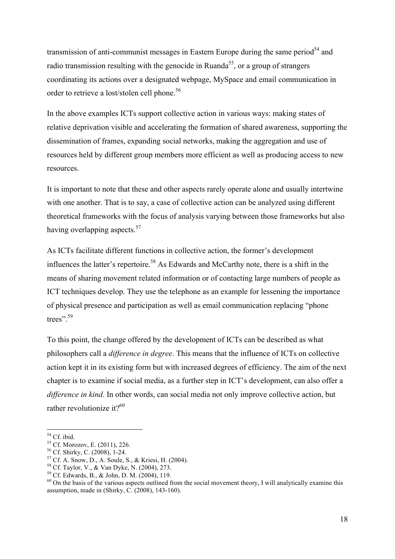transmission of anti-communist messages in Eastern Europe during the same period<sup>54</sup> and radio transmission resulting with the genocide in Ruanda<sup>55</sup>, or a group of strangers coordinating its actions over a designated webpage, MySpace and email communication in order to retrieve a lost/stolen cell phone. 56

In the above examples ICTs support collective action in various ways: making states of relative deprivation visible and accelerating the formation of shared awareness, supporting the dissemination of frames, expanding social networks, making the aggregation and use of resources held by different group members more efficient as well as producing access to new resources.

It is important to note that these and other aspects rarely operate alone and usually intertwine with one another. That is to say, a case of collective action can be analyzed using different theoretical frameworks with the focus of analysis varying between those frameworks but also having overlapping aspects.<sup>57</sup>

As ICTs facilitate different functions in collective action, the former's development influences the latter's repertoire.<sup>58</sup> As Edwards and McCarthy note, there is a shift in the means of sharing movement related information or of contacting large numbers of people as ICT techniques develop. They use the telephone as an example for lessening the importance of physical presence and participation as well as email communication replacing "phone trees". 59

To this point, the change offered by the development of ICTs can be described as what philosophers call a *difference in degree*. This means that the influence of ICTs on collective action kept it in its existing form but with increased degrees of efficiency. The aim of the next chapter is to examine if social media, as a further step in ICT's development, can also offer a *difference in kind*. In other words, can social media not only improve collective action, but rather revolutionize it?<sup>60</sup>

<sup>&</sup>lt;sup>54</sup> Cf. ibid.<br>
<sup>55</sup> Cf. Morozov, E. (2011), 226.<br>
<sup>56</sup> Cf. Shirky, C. (2008), 1-24.<br>
<sup>57</sup> Cf. A. Snow, D., A. Soule, S., & Kriesi, H. (2004).<br>
<sup>58</sup> Cf. Taylor, V., & Van Dyke, N. (2004), 273.<br>
<sup>59</sup> Cf. Edwards, B., & Joh assumption, made in (Shirky, C. (2008), 143-160).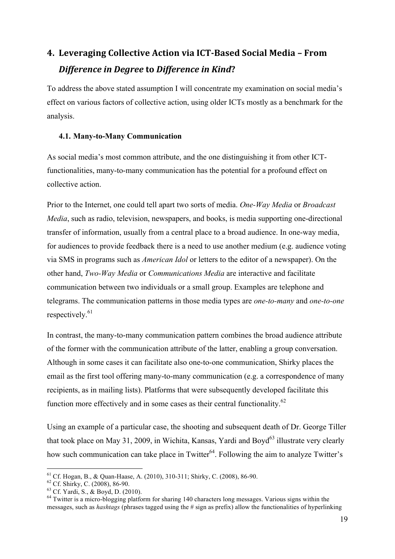# **4. Leveraging Collective Action via ICT-Based Social Media – From** *Difference in Dearee* to Difference in Kind?

To address the above stated assumption I will concentrate my examination on social media's effect on various factors of collective action, using older ICTs mostly as a benchmark for the analysis.

# **4.1. Many-to-Many Communication**

As social media's most common attribute, and the one distinguishing it from other ICTfunctionalities, many-to-many communication has the potential for a profound effect on collective action.

Prior to the Internet, one could tell apart two sorts of media. *One-Way Media* or *Broadcast Media*, such as radio, television, newspapers, and books, is media supporting one-directional transfer of information, usually from a central place to a broad audience. In one-way media, for audiences to provide feedback there is a need to use another medium (e.g. audience voting via SMS in programs such as *American Idol* or letters to the editor of a newspaper). On the other hand, *Two-Way Media* or *Communications Media* are interactive and facilitate communication between two individuals or a small group. Examples are telephone and telegrams. The communication patterns in those media types are *one-to-many* and *one-to-one* respectively. 61

In contrast, the many-to-many communication pattern combines the broad audience attribute of the former with the communication attribute of the latter, enabling a group conversation. Although in some cases it can facilitate also one-to-one communication, Shirky places the email as the first tool offering many-to-many communication (e.g. a correspondence of many recipients, as in mailing lists). Platforms that were subsequently developed facilitate this function more effectively and in some cases as their central functionality.<sup>62</sup>

Using an example of a particular case, the shooting and subsequent death of Dr. George Tiller that took place on May 31, 2009, in Wichita, Kansas, Yardi and Boyd<sup>63</sup> illustrate very clearly how such communication can take place in Twitter<sup>64</sup>. Following the aim to analyze Twitter's

<sup>&</sup>lt;sup>61</sup> Cf. Hogan, B., & Quan-Haase, A. (2010), 310-311; Shirky, C. (2008), 86-90.<br><sup>62</sup> Cf. Shirky, C. (2008), 86-90.<br><sup>63</sup> Cf. Yardi, S., & Boyd, D. (2010).<br><sup>64</sup> Twitter is a micro-blogging platform for sharing 140 character messages, such as *hashtags* (phrases tagged using the # sign as prefix) allow the functionalities of hyperlinking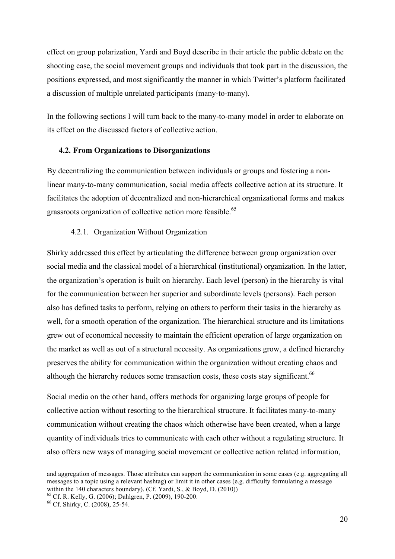effect on group polarization, Yardi and Boyd describe in their article the public debate on the shooting case, the social movement groups and individuals that took part in the discussion, the positions expressed, and most significantly the manner in which Twitter's platform facilitated a discussion of multiple unrelated participants (many-to-many).

In the following sections I will turn back to the many-to-many model in order to elaborate on its effect on the discussed factors of collective action.

# **4.2. From Organizations to Disorganizations**

By decentralizing the communication between individuals or groups and fostering a nonlinear many-to-many communication, social media affects collective action at its structure. It facilitates the adoption of decentralized and non-hierarchical organizational forms and makes grassroots organization of collective action more feasible.<sup>65</sup>

#### 4.2.1. Organization Without Organization

Shirky addressed this effect by articulating the difference between group organization over social media and the classical model of a hierarchical (institutional) organization. In the latter, the organization's operation is built on hierarchy. Each level (person) in the hierarchy is vital for the communication between her superior and subordinate levels (persons). Each person also has defined tasks to perform, relying on others to perform their tasks in the hierarchy as well, for a smooth operation of the organization. The hierarchical structure and its limitations grew out of economical necessity to maintain the efficient operation of large organization on the market as well as out of a structural necessity. As organizations grow, a defined hierarchy preserves the ability for communication within the organization without creating chaos and although the hierarchy reduces some transaction costs, these costs stay significant.<sup>66</sup>

Social media on the other hand, offers methods for organizing large groups of people for collective action without resorting to the hierarchical structure. It facilitates many-to-many communication without creating the chaos which otherwise have been created, when a large quantity of individuals tries to communicate with each other without a regulating structure. It also offers new ways of managing social movement or collective action related information,

and aggregation of messages. Those attributes can support the communication in some cases (e.g. aggregating all messages to a topic using a relevant hashtag) or limit it in other cases (e.g. difficulty formulating a message within the 140 characters boundary). (Cf. Yardi, S., & Boyd, D. (2010))<br><sup>65</sup> Cf. R. Kelly, G. (2006); Dahlgren, P. (2009), 190-200.<br><sup>66</sup> Cf. Shirky, C. (2008), 25-54.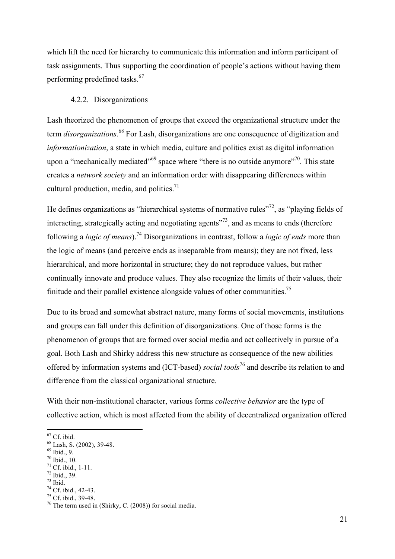which lift the need for hierarchy to communicate this information and inform participant of task assignments. Thus supporting the coordination of people's actions without having them performing predefined tasks. 67

## 4.2.2. Disorganizations

Lash theorized the phenomenon of groups that exceed the organizational structure under the term *disorganizations*. 68 For Lash, disorganizations are one consequence of digitization and *informationization*, a state in which media, culture and politics exist as digital information upon a "mechanically mediated"<sup>69</sup> space where "there is no outside anymore"<sup>70</sup>. This state creates a *network society* and an information order with disappearing differences within cultural production, media, and politics. $1$ <sup>1</sup>

He defines organizations as "hierarchical systems of normative rules"<sup>72</sup>, as "playing fields of interacting, strategically acting and negotiating agents $\frac{373}{3}$ , and as means to ends (therefore following a *logic of means*). 74 Disorganizations in contrast, follow a *logic of ends* more than the logic of means (and perceive ends as inseparable from means); they are not fixed, less hierarchical, and more horizontal in structure; they do not reproduce values, but rather continually innovate and produce values. They also recognize the limits of their values, their finitude and their parallel existence alongside values of other communities.<sup>75</sup>

Due to its broad and somewhat abstract nature, many forms of social movements, institutions and groups can fall under this definition of disorganizations. One of those forms is the phenomenon of groups that are formed over social media and act collectively in pursue of a goal. Both Lash and Shirky address this new structure as consequence of the new abilities offered by information systems and (ICT-based) *social tools* 76 and describe its relation to and difference from the classical organizational structure.

With their non-institutional character, various forms *collective behavior* are the type of collective action, which is most affected from the ability of decentralized organization offered

 $67$  Cf. ibid.

 $^{68}_{69}$  Lash, S. (2002), 39-48.<br> $^{69}_{69}$  Ibid., 9.<br> $^{70}$  Ibid., 10.

 $^{71}_{72}$  Cf. ibid., 1-11.<br> $^{72}$  Ibid., 39.

 $^{73}$  Ibid.<br> $^{74}$  Cf. ibid., 42-43.

<sup>&</sup>lt;sup>75</sup> Cf. ibid., 39-48.  $^{76}$  The term used in (Shirky, C. (2008)) for social media.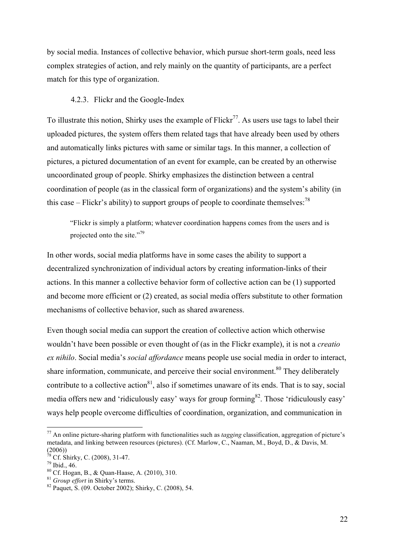by social media. Instances of collective behavior, which pursue short-term goals, need less complex strategies of action, and rely mainly on the quantity of participants, are a perfect match for this type of organization.

# 4.2.3. Flickr and the Google-Index

To illustrate this notion, Shirky uses the example of Flickr<sup>77</sup>. As users use tags to label their uploaded pictures, the system offers them related tags that have already been used by others and automatically links pictures with same or similar tags. In this manner, a collection of pictures, a pictured documentation of an event for example, can be created by an otherwise uncoordinated group of people. Shirky emphasizes the distinction between a central coordination of people (as in the classical form of organizations) and the system's ability (in this case – Flickr's ability) to support groups of people to coordinate themselves:<sup>78</sup>

"Flickr is simply a platform; whatever coordination happens comes from the users and is projected onto the site."<sup>79</sup>

In other words, social media platforms have in some cases the ability to support a decentralized synchronization of individual actors by creating information-links of their actions. In this manner a collective behavior form of collective action can be (1) supported and become more efficient or (2) created, as social media offers substitute to other formation mechanisms of collective behavior, such as shared awareness.

Even though social media can support the creation of collective action which otherwise wouldn't have been possible or even thought of (as in the Flickr example), it is not a *creatio ex nihilo*. Social media's *social affordance* means people use social media in order to interact, share information, communicate, and perceive their social environment.<sup>80</sup> They deliberately contribute to a collective action<sup>81</sup>, also if sometimes unaware of its ends. That is to say, social media offers new and 'ridiculously easy' ways for group forming<sup>82</sup>. Those 'ridiculously easy' ways help people overcome difficulties of coordination, organization, and communication in

 <sup>77</sup> An online picture-sharing platform with functionalities such as *tagging* classification, aggregation of picture's metadata, and linking between resources (pictures). (Cf. Marlow, C., Naaman, M., Boyd, D., & Davis, M.  $(2006)$ 

<sup>&</sup>lt;sup>78</sup> Cf. Shirky, C. (2008), 31-47.<br><sup>79</sup> Ibid., 46.<br><sup>80</sup> Cf. Hogan, B., & Quan-Haase, A. (2010), 310.

 $81^{81}$  *Group effort* in Shirky's terms.  $82$  Paquet, S. (09. October 2002); Shirky, C. (2008), 54.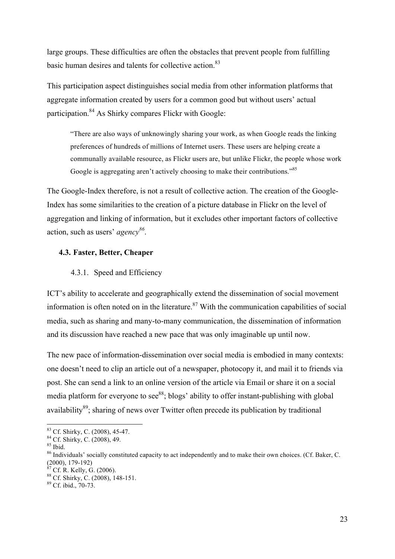large groups. These difficulties are often the obstacles that prevent people from fulfilling basic human desires and talents for collective action.<sup>83</sup>

This participation aspect distinguishes social media from other information platforms that aggregate information created by users for a common good but without users' actual participation.<sup>84</sup> As Shirky compares Flickr with Google:

"There are also ways of unknowingly sharing your work, as when Google reads the linking preferences of hundreds of millions of Internet users. These users are helping create a communally available resource, as Flickr users are, but unlike Flickr, the people whose work Google is aggregating aren't actively choosing to make their contributions."<sup>85</sup>

The Google-Index therefore, is not a result of collective action. The creation of the Google-Index has some similarities to the creation of a picture database in Flickr on the level of aggregation and linking of information, but it excludes other important factors of collective action, such as users' *agency 86*.

# **4.3. Faster, Better, Cheaper**

## 4.3.1. Speed and Efficiency

ICT's ability to accelerate and geographically extend the dissemination of social movement information is often noted on in the literature. 87 With the communication capabilities of social media, such as sharing and many-to-many communication, the dissemination of information and its discussion have reached a new pace that was only imaginable up until now.

The new pace of information-dissemination over social media is embodied in many contexts: one doesn't need to clip an article out of a newspaper, photocopy it, and mail it to friends via post. She can send a link to an online version of the article via Email or share it on a social media platform for everyone to see<sup>88</sup>; blogs' ability to offer instant-publishing with global availability<sup>89</sup>; sharing of news over Twitter often precede its publication by traditional

<sup>&</sup>lt;sup>83</sup> Cf. Shirky, C. (2008), 45-47.<br><sup>84</sup> Cf. Shirky, C. (2008), 49.<br><sup>85</sup> Ibid. 86 Individuals' socially constituted capacity to act independently and to make their own choices. (Cf. Baker, C. (2000), 179-192)

<sup>&</sup>lt;sup>87</sup> Cf. R. Kelly, G. (2006).<br><sup>88</sup> Cf. Shirky, C. (2008), 148-151.<br><sup>89</sup> Cf. ibid., 70-73.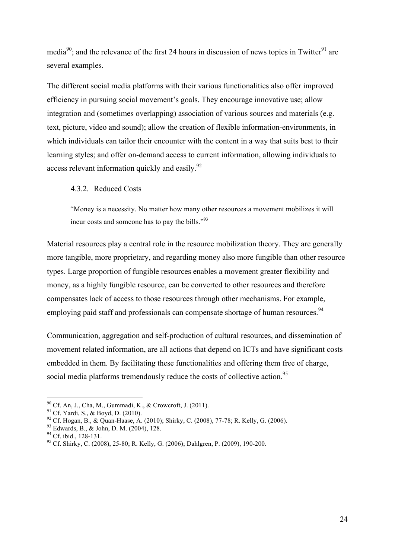media<sup>90</sup>; and the relevance of the first 24 hours in discussion of news topics in Twitter<sup>91</sup> are several examples.

The different social media platforms with their various functionalities also offer improved efficiency in pursuing social movement's goals. They encourage innovative use; allow integration and (sometimes overlapping) association of various sources and materials (e.g. text, picture, video and sound); allow the creation of flexible information-environments, in which individuals can tailor their encounter with the content in a way that suits best to their learning styles; and offer on-demand access to current information, allowing individuals to access relevant information quickly and easily.<sup>92</sup>

# 4.3.2. Reduced Costs

"Money is a necessity. No matter how many other resources a movement mobilizes it will incur costs and someone has to pay the bills."<sup>93</sup>

Material resources play a central role in the resource mobilization theory. They are generally more tangible, more proprietary, and regarding money also more fungible than other resource types. Large proportion of fungible resources enables a movement greater flexibility and money, as a highly fungible resource, can be converted to other resources and therefore compensates lack of access to those resources through other mechanisms. For example, employing paid staff and professionals can compensate shortage of human resources.<sup>94</sup>

Communication, aggregation and self-production of cultural resources, and dissemination of movement related information, are all actions that depend on ICTs and have significant costs embedded in them. By facilitating these functionalities and offering them free of charge, social media platforms tremendously reduce the costs of collective action.<sup>95</sup>

<sup>&</sup>lt;sup>90</sup> Cf. An, J., Cha, M., Gummadi, K., & Crowcroft, J. (2011).<br><sup>91</sup> Cf. Yardi, S., & Boyd, D. (2010).<br><sup>92</sup> Cf. Hogan, B., & Quan-Haase, A. (2010); Shirky, C. (2008), 77-78; R. Kelly, G. (2006).<br><sup>93</sup> Edwards, B., & John, D.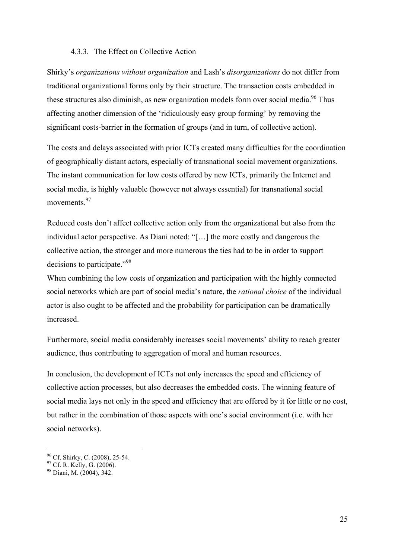## 4.3.3. The Effect on Collective Action

Shirky's *organizations without organization* and Lash's *disorganizations* do not differ from traditional organizational forms only by their structure. The transaction costs embedded in these structures also diminish, as new organization models form over social media.<sup>96</sup> Thus affecting another dimension of the 'ridiculously easy group forming' by removing the significant costs-barrier in the formation of groups (and in turn, of collective action).

The costs and delays associated with prior ICTs created many difficulties for the coordination of geographically distant actors, especially of transnational social movement organizations. The instant communication for low costs offered by new ICTs, primarily the Internet and social media, is highly valuable (however not always essential) for transnational social movements.<sup>97</sup>

Reduced costs don't affect collective action only from the organizational but also from the individual actor perspective. As Diani noted: "[…] the more costly and dangerous the collective action, the stronger and more numerous the ties had to be in order to support decisions to participate."<sup>98</sup>

When combining the low costs of organization and participation with the highly connected social networks which are part of social media's nature, the *rational choice* of the individual actor is also ought to be affected and the probability for participation can be dramatically increased.

Furthermore, social media considerably increases social movements' ability to reach greater audience, thus contributing to aggregation of moral and human resources.

In conclusion, the development of ICTs not only increases the speed and efficiency of collective action processes, but also decreases the embedded costs. The winning feature of social media lays not only in the speed and efficiency that are offered by it for little or no cost, but rather in the combination of those aspects with one's social environment (i.e. with her social networks).

<sup>&</sup>lt;sup>96</sup> Cf. Shirky, C. (2008), 25-54.<br><sup>97</sup> Cf. R. Kelly, G. (2006).<br><sup>98</sup> Diani, M. (2004), 342.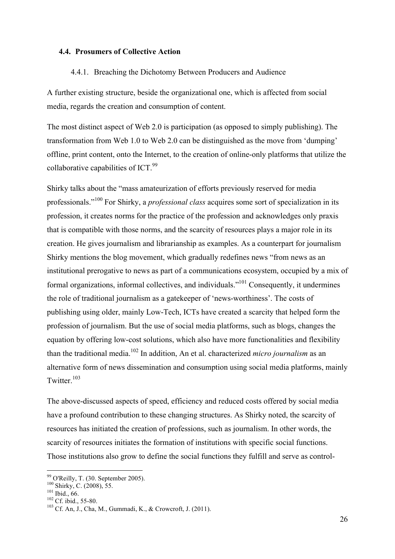#### **4.4. Prosumers of Collective Action**

# 4.4.1. Breaching the Dichotomy Between Producers and Audience

A further existing structure, beside the organizational one, which is affected from social media, regards the creation and consumption of content.

The most distinct aspect of Web 2.0 is participation (as opposed to simply publishing). The transformation from Web 1.0 to Web 2.0 can be distinguished as the move from 'dumping' offline, print content, onto the Internet, to the creation of online-only platforms that utilize the collaborative capabilities of ICT.<sup>99</sup>

Shirky talks about the "mass amateurization of efforts previously reserved for media professionals." 100 For Shirky, a *professional class* acquires some sort of specialization in its profession, it creates norms for the practice of the profession and acknowledges only praxis that is compatible with those norms, and the scarcity of resources plays a major role in its creation. He gives journalism and librarianship as examples. As a counterpart for journalism Shirky mentions the blog movement, which gradually redefines news "from news as an institutional prerogative to news as part of a communications ecosystem, occupied by a mix of formal organizations, informal collectives, and individuals."<sup>101</sup> Consequently, it undermines the role of traditional journalism as a gatekeeper of 'news-worthiness'. The costs of publishing using older, mainly Low-Tech, ICTs have created a scarcity that helped form the profession of journalism. But the use of social media platforms, such as blogs, changes the equation by offering low-cost solutions, which also have more functionalities and flexibility than the traditional media. 102 In addition, An et al. characterized *micro journalism* as an alternative form of news dissemination and consumption using social media platforms, mainly Twitter. 103

The above-discussed aspects of speed, efficiency and reduced costs offered by social media have a profound contribution to these changing structures. As Shirky noted, the scarcity of resources has initiated the creation of professions, such as journalism. In other words, the scarcity of resources initiates the formation of institutions with specific social functions. Those institutions also grow to define the social functions they fulfill and serve as control-

<sup>&</sup>lt;sup>99</sup> O'Reilly, T. (30. September 2005).<br><sup>100</sup> Shirky, C. (2008), 55.<br><sup>101</sup> Ibid., 66.<br><sup>102</sup> Cf. ibid., 55-80.<br><sup>103</sup> Cf. An, J., Cha, M., Gummadi, K., & Crowcroft, J. (2011).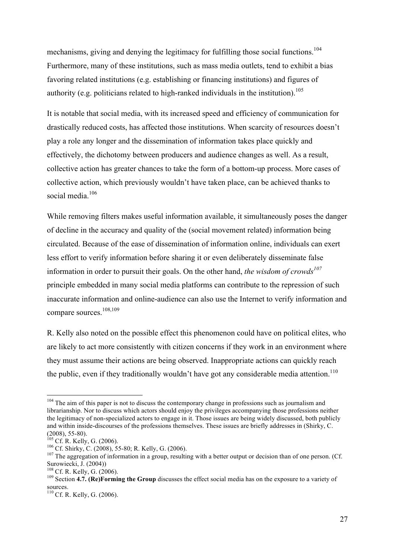mechanisms, giving and denying the legitimacy for fulfilling those social functions.<sup>104</sup> Furthermore, many of these institutions, such as mass media outlets, tend to exhibit a bias favoring related institutions (e.g. establishing or financing institutions) and figures of authority (e.g. politicians related to high-ranked individuals in the institution).  $^{105}$ 

It is notable that social media, with its increased speed and efficiency of communication for drastically reduced costs, has affected those institutions. When scarcity of resources doesn't play a role any longer and the dissemination of information takes place quickly and effectively, the dichotomy between producers and audience changes as well. As a result, collective action has greater chances to take the form of a bottom-up process. More cases of collective action, which previously wouldn't have taken place, can be achieved thanks to social media. 106

While removing filters makes useful information available, it simultaneously poses the danger of decline in the accuracy and quality of the (social movement related) information being circulated. Because of the ease of dissemination of information online, individuals can exert less effort to verify information before sharing it or even deliberately disseminate false information in order to pursuit their goals. On the other hand, *the wisdom of crowds 107* principle embedded in many social media platforms can contribute to the repression of such inaccurate information and online-audience can also use the Internet to verify information and compare sources. 108,109

R. Kelly also noted on the possible effect this phenomenon could have on political elites, who are likely to act more consistently with citizen concerns if they work in an environment where they must assume their actions are being observed. Inappropriate actions can quickly reach the public, even if they traditionally wouldn't have got any considerable media attention.<sup>110</sup>

 $104$  The aim of this paper is not to discuss the contemporary change in professions such as journalism and librarianship. Nor to discuss which actors should enjoy the privileges accompanying those professions neither the legitimacy of non-specialized actors to engage in it. Those issues are being widely discussed, both publicly and within inside-discourses of the professions themselves. These issues are briefly addresses in (Shirky, C.

<sup>&</sup>lt;sup>105</sup> Cf. R. Kelly, G. (2006). <sup>106</sup> Cf. Shirky, C. (2006). <sup>106</sup> Cf. Shirky, C. (2008), 55-80; R. Kelly, G. (2006). <sup>107</sup> The aggregation of information in a group, resulting with a better output or decision than of one Surowiecki, J. (2004))<br><sup>108</sup> Cf. R. Kelly, G. (2006).

<sup>&</sup>lt;sup>109</sup> Section **4.7. (Re)Forming the Group** discusses the effect social media has on the exposure to a variety of sources.

 $110$  Cf. R. Kelly, G. (2006).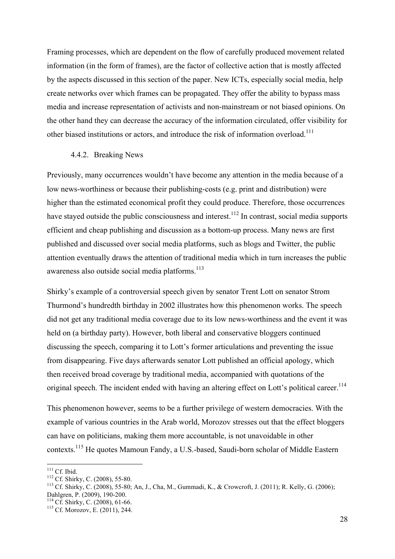Framing processes, which are dependent on the flow of carefully produced movement related information (in the form of frames), are the factor of collective action that is mostly affected by the aspects discussed in this section of the paper. New ICTs, especially social media, help create networks over which frames can be propagated. They offer the ability to bypass mass media and increase representation of activists and non-mainstream or not biased opinions. On the other hand they can decrease the accuracy of the information circulated, offer visibility for other biased institutions or actors, and introduce the risk of information overload.<sup>111</sup>

#### 4.4.2. Breaking News

Previously, many occurrences wouldn't have become any attention in the media because of a low news-worthiness or because their publishing-costs (e.g. print and distribution) were higher than the estimated economical profit they could produce. Therefore, those occurrences have stayed outside the public consciousness and interest.<sup>112</sup> In contrast, social media supports efficient and cheap publishing and discussion as a bottom-up process. Many news are first published and discussed over social media platforms, such as blogs and Twitter, the public attention eventually draws the attention of traditional media which in turn increases the public awareness also outside social media platforms.<sup>113</sup>

Shirky's example of a controversial speech given by senator Trent Lott on senator Strom Thurmond's hundredth birthday in 2002 illustrates how this phenomenon works. The speech did not get any traditional media coverage due to its low news-worthiness and the event it was held on (a birthday party). However, both liberal and conservative bloggers continued discussing the speech, comparing it to Lott's former articulations and preventing the issue from disappearing. Five days afterwards senator Lott published an official apology, which then received broad coverage by traditional media, accompanied with quotations of the original speech. The incident ended with having an altering effect on Lott's political career.<sup>114</sup>

This phenomenon however, seems to be a further privilege of western democracies. With the example of various countries in the Arab world, Morozov stresses out that the effect bloggers can have on politicians, making them more accountable, is not unavoidable in other contexts.<sup>115</sup> He quotes Mamoun Fandy, a U.S.-based, Saudi-born scholar of Middle Eastern

<sup>&</sup>lt;sup>111</sup> Cf. Ibid.<br><sup>112</sup> Cf. Shirky, C. (2008), 55-80.<br><sup>113</sup> Cf. Shirky, C. (2008), 55-80; An, J., Cha, M., Gummadi, K., & Crowcroft, J. (2011); R. Kelly, G. (2006); Dahlgren, P. (2009), 190-200.<br><sup>114</sup> Cf. Shirky, C. (2008), 61-66.<br><sup>115</sup> Cf. Morozov, E. (2011), 244.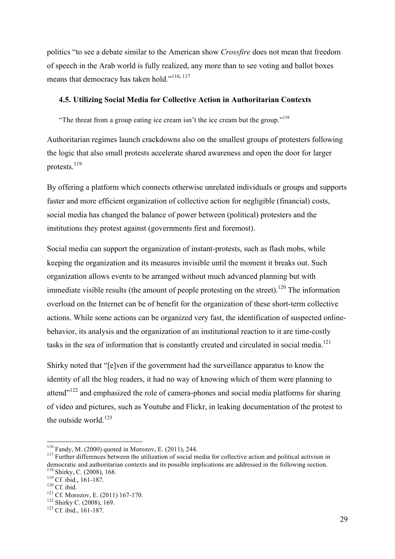politics "to see a debate similar to the American show *Crossfire* does not mean that freedom of speech in the Arab world is fully realized, any more than to see voting and ballot boxes means that democracy has taken hold."<sup>116, 117</sup>

#### **4.5. Utilizing Social Media for Collective Action in Authoritarian Contexts**

"The threat from a group eating ice cream isn't the ice cream but the group."<sup>118</sup>

Authoritarian regimes launch crackdowns also on the smallest groups of protesters following the logic that also small protests accelerate shared awareness and open the door for larger protests. 119

By offering a platform which connects otherwise unrelated individuals or groups and supports faster and more efficient organization of collective action for negligible (financial) costs, social media has changed the balance of power between (political) protesters and the institutions they protest against (governments first and foremost).

Social media can support the organization of instant-protests, such as flash mobs, while keeping the organization and its measures invisible until the moment it breaks out. Such organization allows events to be arranged without much advanced planning but with immediate visible results (the amount of people protesting on the street).<sup>120</sup> The information overload on the Internet can be of benefit for the organization of these short-term collective actions. While some actions can be organized very fast, the identification of suspected onlinebehavior, its analysis and the organization of an institutional reaction to it are time-costly tasks in the sea of information that is constantly created and circulated in social media.<sup>121</sup>

Shirky noted that "[e]ven if the government had the surveillance apparatus to know the identity of all the blog readers, it had no way of knowing which of them were planning to attend"<sup>122</sup> and emphasized the role of camera-phones and social media platforms for sharing of video and pictures, such as Youtube and Flickr, in leaking documentation of the protest to the outside world.<sup>123</sup>

<sup>&</sup>lt;sup>116</sup> Fandy, M. (2000) quoted in Morozov, E. (2011), 244.<br><sup>117</sup> Further differences between the utilization of social media for collective action and political activism in democratic and authoritarian contexts and its possible implications are addressed in the following section.<br>
<sup>118</sup> Shirky, C. (2008), 168.<br>
<sup>119</sup> Cf. ibid., 161-187.<br>
<sup>120</sup> Cf. ibid.<br>
<sup>121</sup> Cf. Morozov, E. (2011) 167-170.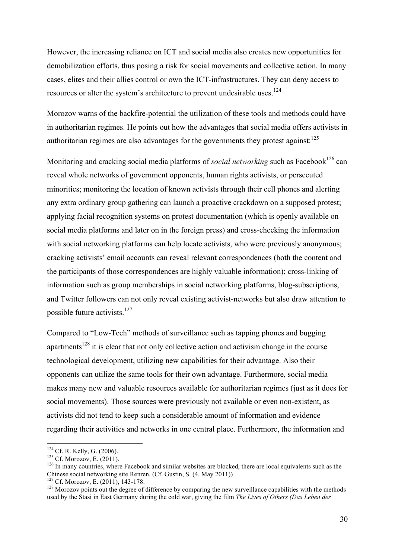However, the increasing reliance on ICT and social media also creates new opportunities for demobilization efforts, thus posing a risk for social movements and collective action. In many cases, elites and their allies control or own the ICT-infrastructures. They can deny access to resources or alter the system's architecture to prevent undesirable uses.<sup>124</sup>

Morozov warns of the backfire-potential the utilization of these tools and methods could have in authoritarian regimes. He points out how the advantages that social media offers activists in authoritarian regimes are also advantages for the governments they protest against:  $125$ 

Monitoring and cracking social media platforms of *social networking* such as Facebook<sup>126</sup> can reveal whole networks of government opponents, human rights activists, or persecuted minorities; monitoring the location of known activists through their cell phones and alerting any extra ordinary group gathering can launch a proactive crackdown on a supposed protest; applying facial recognition systems on protest documentation (which is openly available on social media platforms and later on in the foreign press) and cross-checking the information with social networking platforms can help locate activists, who were previously anonymous; cracking activists' email accounts can reveal relevant correspondences (both the content and the participants of those correspondences are highly valuable information); cross-linking of information such as group memberships in social networking platforms, blog-subscriptions, and Twitter followers can not only reveal existing activist-networks but also draw attention to possible future activists.<sup>127</sup>

Compared to "Low-Tech" methods of surveillance such as tapping phones and bugging apartments<sup>128</sup> it is clear that not only collective action and activism change in the course technological development, utilizing new capabilities for their advantage. Also their opponents can utilize the same tools for their own advantage. Furthermore, social media makes many new and valuable resources available for authoritarian regimes (just as it does for social movements). Those sources were previously not available or even non-existent, as activists did not tend to keep such a considerable amount of information and evidence regarding their activities and networks in one central place. Furthermore, the information and

<sup>&</sup>lt;sup>124</sup> Cf. R. Kelly, G. (2006).<br><sup>125</sup> Cf. Morozov, E. (2011).<br><sup>126</sup> In many countries, where Facebook and similar websites are blocked, there are local equivalents such as the Chinese social networking site Renren. (Cf. Gustin, S.  $(4. May 2011)$ )<br><sup>127</sup> Cf. Morozov, E. (2011), 143-178.<br><sup>128</sup> Morozov points out the degree of difference by comparing the new surveillance capabilities with the methods

used by the Stasi in East Germany during the cold war, giving the film *The Lives of Others (Das Leben der*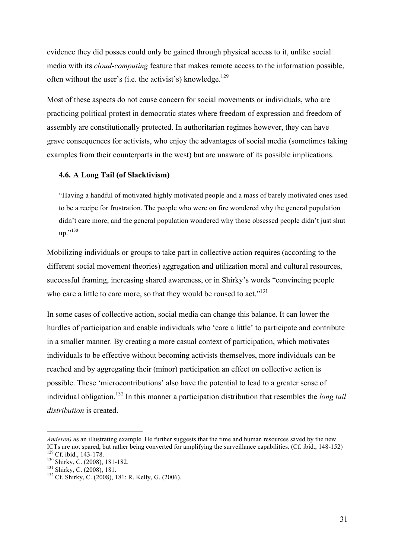evidence they did posses could only be gained through physical access to it, unlike social media with its *cloud-computing* feature that makes remote access to the information possible, often without the user's (i.e. the activist's) knowledge. $^{129}$ 

Most of these aspects do not cause concern for social movements or individuals, who are practicing political protest in democratic states where freedom of expression and freedom of assembly are constitutionally protected. In authoritarian regimes however, they can have grave consequences for activists, who enjoy the advantages of social media (sometimes taking examples from their counterparts in the west) but are unaware of its possible implications.

#### **4.6. A Long Tail (of Slacktivism)**

"Having a handful of motivated highly motivated people and a mass of barely motivated ones used to be a recipe for frustration. The people who were on fire wondered why the general population didn't care more, and the general population wondered why those obsessed people didn't just shut up." 130

Mobilizing individuals or groups to take part in collective action requires (according to the different social movement theories) aggregation and utilization moral and cultural resources, successful framing, increasing shared awareness, or in Shirky's words "convincing people who care a little to care more, so that they would be roused to act."<sup>131</sup>

In some cases of collective action, social media can change this balance. It can lower the hurdles of participation and enable individuals who 'care a little' to participate and contribute in a smaller manner. By creating a more casual context of participation, which motivates individuals to be effective without becoming activists themselves, more individuals can be reached and by aggregating their (minor) participation an effect on collective action is possible. These 'microcontributions' also have the potential to lead to a greater sense of individual obligation. 132 In this manner a participation distribution that resembles the *long tail distribution* is created.

 $\overline{a}$ 

*Anderen)* as an illustrating example. He further suggests that the time and human resources saved by the new ICTs are not spared, but rather being converted for amplifying the surveillance capabilities. (Cf. ibid., 148-152)<br><sup>129</sup> Cf. ibid., 143-178.<br><sup>130</sup> Shirky, C. (2008), 181-182.<br><sup>131</sup> Shirky, C. (2008), 181.<br><sup>131</sup> Cf. Shirky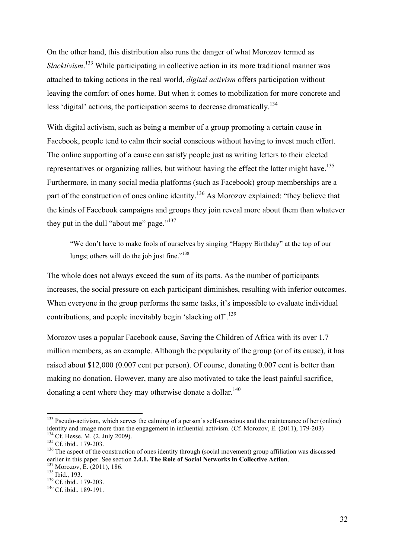On the other hand, this distribution also runs the danger of what Morozov termed as Slacktivism.<sup>133</sup> While participating in collective action in its more traditional manner was attached to taking actions in the real world, *digital activism* offers participation without leaving the comfort of ones home. But when it comes to mobilization for more concrete and less 'digital' actions, the participation seems to decrease dramatically.<sup>134</sup>

With digital activism, such as being a member of a group promoting a certain cause in Facebook, people tend to calm their social conscious without having to invest much effort. The online supporting of a cause can satisfy people just as writing letters to their elected representatives or organizing rallies, but without having the effect the latter might have.<sup>135</sup> Furthermore, in many social media platforms (such as Facebook) group memberships are a part of the construction of ones online identity.<sup>136</sup> As Morozov explained: "they believe that the kinds of Facebook campaigns and groups they join reveal more about them than whatever they put in the dull "about me" page." $137$ 

"We don't have to make fools of ourselves by singing "Happy Birthday" at the top of our lungs; others will do the job just fine."<sup>138</sup>

The whole does not always exceed the sum of its parts. As the number of participants increases, the social pressure on each participant diminishes, resulting with inferior outcomes. When everyone in the group performs the same tasks, it's impossible to evaluate individual contributions, and people inevitably begin 'slacking off'.<sup>139</sup>

Morozov uses a popular Facebook cause, Saving the Children of Africa with its over 1.7 million members, as an example. Although the popularity of the group (or of its cause), it has raised about \$12,000 (0.007 cent per person). Of course, donating 0.007 cent is better than making no donation. However, many are also motivated to take the least painful sacrifice, donating a cent where they may otherwise donate a dollar.<sup>140</sup>

<sup>&</sup>lt;sup>133</sup> Pseudo-activism, which serves the calming of a person's self-conscious and the maintenance of her (online) identity and image more than the engagement in influential activism. (Cf. Morozov, E. (2011), 179-203)<br><sup>134</sup> Cf. Hesse, M. (2. July 2009).<br><sup>135</sup> Cf. ibid., 179-203.<br><sup>136</sup> The aspect of the construction of ones identity th

earlier in this paper. See section **2.4.1. The Role of Social Networks in Collective Action**. <sup>137</sup> Morozov, E. (2011), 186.<br><sup>137</sup> Morozov, E. (2011), 186.<br><sup>138</sup> Cf. ibid., 179-203.<br><sup>140</sup> Cf. ibid., 189-191.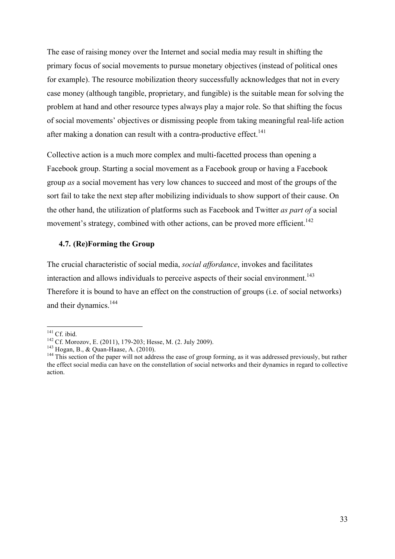The ease of raising money over the Internet and social media may result in shifting the primary focus of social movements to pursue monetary objectives (instead of political ones for example). The resource mobilization theory successfully acknowledges that not in every case money (although tangible, proprietary, and fungible) is the suitable mean for solving the problem at hand and other resource types always play a major role. So that shifting the focus of social movements' objectives or dismissing people from taking meaningful real-life action after making a donation can result with a contra-productive effect.<sup>141</sup>

Collective action is a much more complex and multi-facetted process than opening a Facebook group. Starting a social movement as a Facebook group or having a Facebook group *as* a social movement has very low chances to succeed and most of the groups of the sort fail to take the next step after mobilizing individuals to show support of their cause. On the other hand, the utilization of platforms such as Facebook and Twitter *as part of* a social movement's strategy, combined with other actions, can be proved more efficient.<sup>142</sup>

# **4.7. (Re)Forming the Group**

The crucial characteristic of social media, *social affordance*, invokes and facilitates interaction and allows individuals to perceive aspects of their social environment.<sup>143</sup> Therefore it is bound to have an effect on the construction of groups (i.e. of social networks) and their dynamics.<sup>144</sup>

<sup>&</sup>lt;sup>141</sup> Cf. ibid.<br><sup>142</sup> Cf. Morozov, E. (2011), 179-203; Hesse, M. (2. July 2009).<br><sup>143</sup> Hogan, B., & Quan-Haase, A. (2010).<br><sup>144</sup> This section of the paper will not address the ease of group forming, as it was addressed pr the effect social media can have on the constellation of social networks and their dynamics in regard to collective action.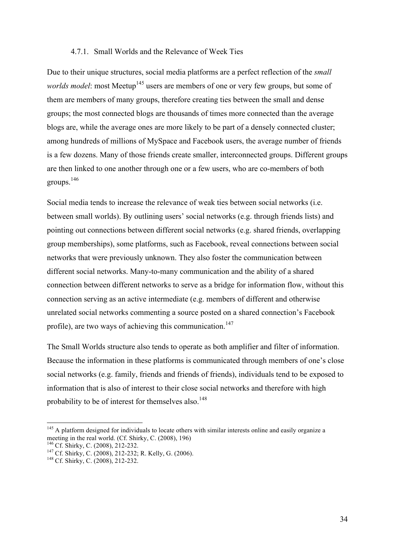#### 4.7.1. Small Worlds and the Relevance of Week Ties

Due to their unique structures, social media platforms are a perfect reflection of the *small worlds model*: most Meetup<sup>145</sup> users are members of one or very few groups, but some of them are members of many groups, therefore creating ties between the small and dense groups; the most connected blogs are thousands of times more connected than the average blogs are, while the average ones are more likely to be part of a densely connected cluster; among hundreds of millions of MySpace and Facebook users, the average number of friends is a few dozens. Many of those friends create smaller, interconnected groups. Different groups are then linked to one another through one or a few users, who are co-members of both groups. 146

Social media tends to increase the relevance of weak ties between social networks (i.e. between small worlds). By outlining users' social networks (e.g. through friends lists) and pointing out connections between different social networks (e.g. shared friends, overlapping group memberships), some platforms, such as Facebook, reveal connections between social networks that were previously unknown. They also foster the communication between different social networks. Many-to-many communication and the ability of a shared connection between different networks to serve as a bridge for information flow, without this connection serving as an active intermediate (e.g. members of different and otherwise unrelated social networks commenting a source posted on a shared connection's Facebook profile), are two ways of achieving this communication.<sup>147</sup>

The Small Worlds structure also tends to operate as both amplifier and filter of information. Because the information in these platforms is communicated through members of one's close social networks (e.g. family, friends and friends of friends), individuals tend to be exposed to information that is also of interest to their close social networks and therefore with high probability to be of interest for themselves also.<sup>148</sup>

<sup>&</sup>lt;sup>145</sup> A platform designed for individuals to locate others with similar interests online and easily organize a meeting in the real world. (Cf. Shirky, C. (2008), 196)

<sup>&</sup>lt;sup>146</sup> Cf. Shirky, C. (2008), 212-232.<br><sup>147</sup> Cf. Shirky, C. (2008), 212-232; R. Kelly, G. (2006). <sup>148</sup> Cf. Shirky, C. (2008), 212-232.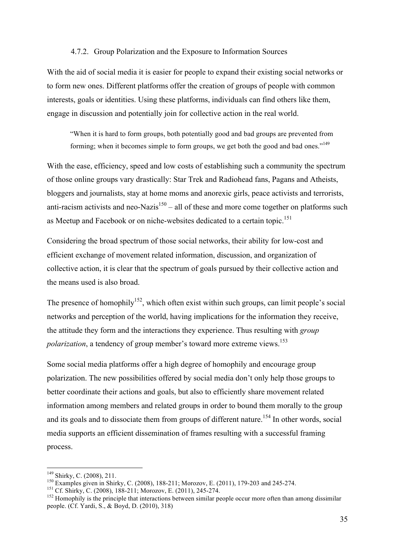#### 4.7.2. Group Polarization and the Exposure to Information Sources

With the aid of social media it is easier for people to expand their existing social networks or to form new ones. Different platforms offer the creation of groups of people with common interests, goals or identities. Using these platforms, individuals can find others like them, engage in discussion and potentially join for collective action in the real world.

"When it is hard to form groups, both potentially good and bad groups are prevented from forming; when it becomes simple to form groups, we get both the good and bad ones."<sup>149</sup>

With the ease, efficiency, speed and low costs of establishing such a community the spectrum of those online groups vary drastically: Star Trek and Radiohead fans, Pagans and Atheists, bloggers and journalists, stay at home moms and anorexic girls, peace activists and terrorists, anti-racism activists and neo-Nazis<sup>150</sup> – all of these and more come together on platforms such as Meetup and Facebook or on niche-websites dedicated to a certain topic.<sup>151</sup>

Considering the broad spectrum of those social networks, their ability for low-cost and efficient exchange of movement related information, discussion, and organization of collective action, it is clear that the spectrum of goals pursued by their collective action and the means used is also broad.

The presence of homophily<sup>152</sup>, which often exist within such groups, can limit people's social networks and perception of the world, having implications for the information they receive, the attitude they form and the interactions they experience. Thus resulting with *group polarization*, a tendency of group member's toward more extreme views. 153

Some social media platforms offer a high degree of homophily and encourage group polarization. The new possibilities offered by social media don't only help those groups to better coordinate their actions and goals, but also to efficiently share movement related information among members and related groups in order to bound them morally to the group and its goals and to dissociate them from groups of different nature.<sup>154</sup> In other words, social media supports an efficient dissemination of frames resulting with a successful framing process.

<sup>&</sup>lt;sup>149</sup> Shirky, C. (2008), 211.<br><sup>150</sup> Examples given in Shirky, C. (2008), 188-211; Morozov, E. (2011), 179-203 and 245-274.<br><sup>151</sup> Cf. Shirky, C. (2008), 188-211; Morozov, E. (2011), 245-274.<br><sup>151</sup> Cf. Shirky, C. (2008), 18

people. (Cf. Yardi, S., & Boyd, D. (2010), 318)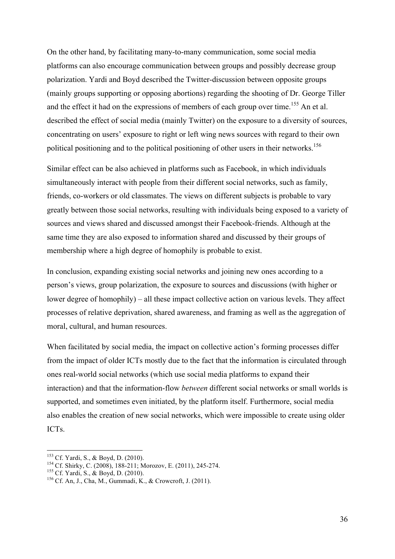On the other hand, by facilitating many-to-many communication, some social media platforms can also encourage communication between groups and possibly decrease group polarization. Yardi and Boyd described the Twitter-discussion between opposite groups (mainly groups supporting or opposing abortions) regarding the shooting of Dr. George Tiller and the effect it had on the expressions of members of each group over time.<sup>155</sup> An et al. described the effect of social media (mainly Twitter) on the exposure to a diversity of sources, concentrating on users' exposure to right or left wing news sources with regard to their own political positioning and to the political positioning of other users in their networks.<sup>156</sup>

Similar effect can be also achieved in platforms such as Facebook, in which individuals simultaneously interact with people from their different social networks, such as family, friends, co-workers or old classmates. The views on different subjects is probable to vary greatly between those social networks, resulting with individuals being exposed to a variety of sources and views shared and discussed amongst their Facebook-friends. Although at the same time they are also exposed to information shared and discussed by their groups of membership where a high degree of homophily is probable to exist.

In conclusion, expanding existing social networks and joining new ones according to a person's views, group polarization, the exposure to sources and discussions (with higher or lower degree of homophily) – all these impact collective action on various levels. They affect processes of relative deprivation, shared awareness, and framing as well as the aggregation of moral, cultural, and human resources.

When facilitated by social media, the impact on collective action's forming processes differ from the impact of older ICTs mostly due to the fact that the information is circulated through ones real-world social networks (which use social media platforms to expand their interaction) and that the information-flow *between* different social networks or small worlds is supported, and sometimes even initiated, by the platform itself. Furthermore, social media also enables the creation of new social networks, which were impossible to create using older ICTs.

<sup>&</sup>lt;sup>153</sup> Cf. Yardi, S., & Boyd, D. (2010).<br><sup>154</sup> Cf. Shirky, C. (2008), 188-211; Morozov, E. (2011), 245-274.<br><sup>155</sup> Cf. Yardi, S., & Boyd, D. (2010).<br><sup>156</sup> Cf. An, J., Cha, M., Gummadi, K., & Crowcroft, J. (2011).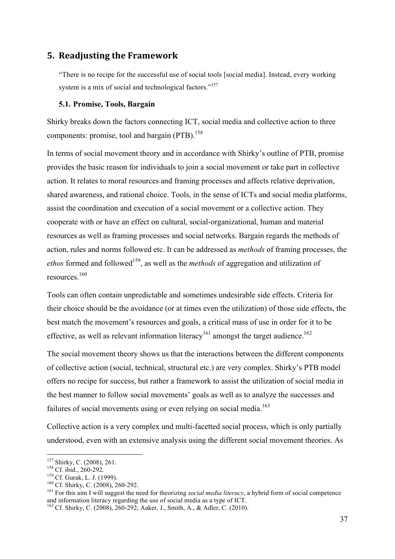# **5. Readjusting the Framework**

"There is no recipe for the successful use of social tools [social media]. Instead, every working system is a mix of social and technological factors."<sup>157</sup>

#### **5.1. Promise, Tools, Bargain**

Shirky breaks down the factors connecting ICT, social media and collective action to three components: promise, tool and bargain (PTB). 158

In terms of social movement theory and in accordance with Shirky's outline of PTB, promise provides the basic reason for individuals to join a social movement or take part in collective action. It relates to moral resources and framing processes and affects relative deprivation, shared awareness, and rational choice. Tools, in the sense of ICTs and social media platforms, assist the coordination and execution of a social movement or a collective action. They cooperate with or have an effect on cultural, social-organizational, human and material resources as well as framing processes and social networks. Bargain regards the methods of action, rules and norms followed etc. It can be addressed as *methods* of framing processes, the ethos formed and followed<sup>159</sup>, as well as the *methods* of aggregation and utilization of resources. 160

Tools can often contain unpredictable and sometimes undesirable side effects. Criteria for their choice should be the avoidance (or at times even the utilization) of those side effects, the best match the movement's resources and goals, a critical mass of use in order for it to be effective, as well as relevant information literacy<sup>161</sup> amongst the target audience.<sup>162</sup>

The social movement theory shows us that the interactions between the different components of collective action (social, technical, structural etc.) are very complex. Shirky's PTB model offers no recipe for success, but rather a framework to assist the utilization of social media in the best manner to follow social movements' goals as well as to analyze the successes and failures of social movements using or even relying on social media.<sup>163</sup>

Collective action is a very complex und multi-facetted social process, which is only partially understood, even with an extensive analysis using the different social movement theories. As

<sup>&</sup>lt;sup>157</sup> Shirky, C. (2008), 261.<br><sup>158</sup> Cf. ibid., 260-292.<br><sup>159</sup> Cf. Gurak, L. J. (1999).<br><sup>159</sup> Cf. Shirky, C. (2008), 260-292.<br><sup>160</sup> Cf. Shirky, C. (2008), 260-292.<br><sup>161</sup> For this aim I will suggest the need for theorizing

<sup>&</sup>lt;sup>162</sup> Cf. Shirky, C. (2008), 260-292; Aaker, J., Smith, A., & Adler, C. (2010).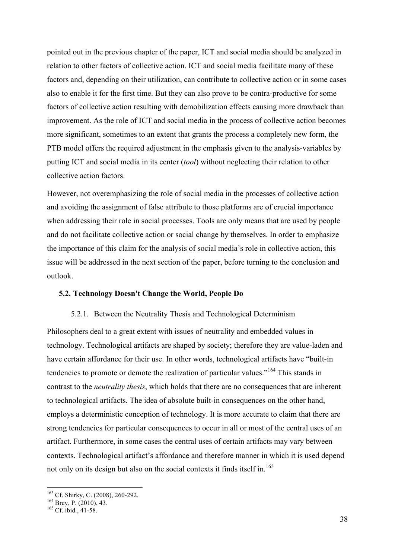pointed out in the previous chapter of the paper, ICT and social media should be analyzed in relation to other factors of collective action. ICT and social media facilitate many of these factors and, depending on their utilization, can contribute to collective action or in some cases also to enable it for the first time. But they can also prove to be contra-productive for some factors of collective action resulting with demobilization effects causing more drawback than improvement. As the role of ICT and social media in the process of collective action becomes more significant, sometimes to an extent that grants the process a completely new form, the PTB model offers the required adjustment in the emphasis given to the analysis-variables by putting ICT and social media in its center (*tool*) without neglecting their relation to other collective action factors.

However, not overemphasizing the role of social media in the processes of collective action and avoiding the assignment of false attribute to those platforms are of crucial importance when addressing their role in social processes. Tools are only means that are used by people and do not facilitate collective action or social change by themselves. In order to emphasize the importance of this claim for the analysis of social media's role in collective action, this issue will be addressed in the next section of the paper, before turning to the conclusion and outlook.

#### **5.2. Technology Doesn't Change the World, People Do**

#### 5.2.1. Between the Neutrality Thesis and Technological Determinism

Philosophers deal to a great extent with issues of neutrality and embedded values in technology. Technological artifacts are shaped by society; therefore they are value-laden and have certain affordance for their use. In other words, technological artifacts have "built-in tendencies to promote or demote the realization of particular values."<sup>164</sup> This stands in contrast to the *neutrality thesis*, which holds that there are no consequences that are inherent to technological artifacts. The idea of absolute built-in consequences on the other hand, employs a deterministic conception of technology. It is more accurate to claim that there are strong tendencies for particular consequences to occur in all or most of the central uses of an artifact. Furthermore, in some cases the central uses of certain artifacts may vary between contexts. Technological artifact's affordance and therefore manner in which it is used depend not only on its design but also on the social contexts it finds itself in. 165

<sup>&</sup>lt;sup>163</sup> Cf. Shirky, C. (2008), 260-292.<br><sup>164</sup> Brey, P. (2010), 43.<br><sup>165</sup> Cf. ibid., 41-58.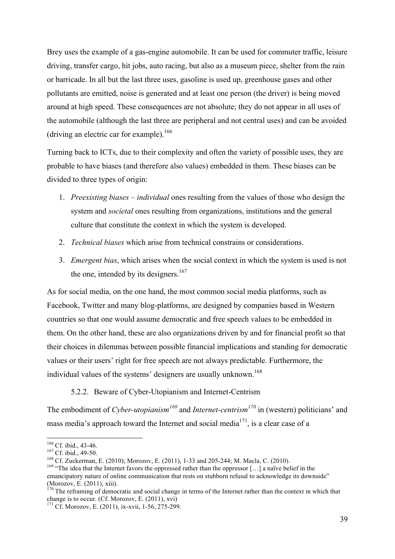Brey uses the example of a gas-engine automobile. It can be used for commuter traffic, leisure driving, transfer cargo, hit jobs, auto racing, but also as a museum piece, shelter from the rain or barricade. In all but the last three uses, gasoline is used up, greenhouse gases and other pollutants are emitted, noise is generated and at least one person (the driver) is being moved around at high speed. These consequences are not absolute; they do not appear in all uses of the automobile (although the last three are peripheral and not central uses) and can be avoided (driving an electric car for example). 166

Turning back to ICTs, due to their complexity and often the variety of possible uses, they are probable to have biases (and therefore also values) embedded in them. These biases can be divided to three types of origin:

- 1. *Preexisting biases individual* ones resulting from the values of those who design the system and *societal* ones resulting from organizations, institutions and the general culture that constitute the context in which the system is developed.
- 2. *Technical biases* which arise from technical constrains or considerations.
- 3. *Emergent bias*, which arises when the social context in which the system is used is not the one, intended by its designers.<sup>167</sup>

As for social media, on the one hand, the most common social media platforms, such as Facebook, Twitter and many blog-platforms, are designed by companies based in Western countries so that one would assume democratic and free speech values to be embedded in them. On the other hand, these are also organizations driven by and for financial profit so that their choices in dilemmas between possible financial implications and standing for democratic values or their users' right for free speech are not always predictable. Furthermore, the individual values of the systems' designers are usually unknown.<sup>168</sup>

5.2.2. Beware of Cyber-Utopianism and Internet-Centrism

The embodiment of *Cyber-utopianism<sup>169</sup>* and *Internet-centrism<sup>170</sup> in* (western) politicians' and mass media's approach toward the Internet and social media $171$ , is a clear case of a

<sup>&</sup>lt;sup>166</sup> Cf. ibid., 43-46.<br><sup>167</sup> Cf. ibid., 49-50.<br><sup>168</sup> Cf. Zuckerman, E. (2010); Morozov, E. (2011), 1-33 and 205-244; M. Macla, C. (2010).<br><sup>169</sup> "The idea that the Internet favors the oppressed rather than the oppressor [

emancipatory nature of online communication that rests on stubborn refusal to acknowledge its downside" (Morozov, E. (2011), xiii).

 $^{170}$  The reframing of democratic and social change in terms of the Internet rather than the context in which that change is to occur. (Cf. Morozov, E. (2011), xvi)

<sup>&</sup>lt;sup>171</sup> Cf. Morozov, E. (2011), ix-xvii, 1-56, 275-299.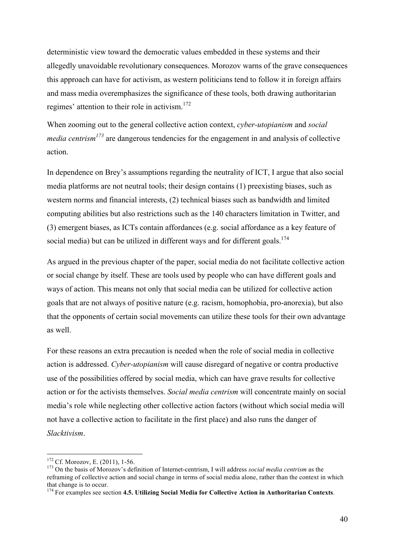deterministic view toward the democratic values embedded in these systems and their allegedly unavoidable revolutionary consequences. Morozov warns of the grave consequences this approach can have for activism, as western politicians tend to follow it in foreign affairs and mass media overemphasizes the significance of these tools, both drawing authoritarian regimes' attention to their role in activism.<sup>172</sup>

When zooming out to the general collective action context, *cyber-utopianism* and *social media centrism*<sup>173</sup> are dangerous tendencies for the engagement in and analysis of collective action.

In dependence on Brey's assumptions regarding the neutrality of ICT, I argue that also social media platforms are not neutral tools; their design contains (1) preexisting biases, such as western norms and financial interests, (2) technical biases such as bandwidth and limited computing abilities but also restrictions such as the 140 characters limitation in Twitter, and (3) emergent biases, as ICTs contain affordances (e.g. social affordance as a key feature of social media) but can be utilized in different ways and for different goals.<sup>174</sup>

As argued in the previous chapter of the paper, social media do not facilitate collective action or social change by itself. These are tools used by people who can have different goals and ways of action. This means not only that social media can be utilized for collective action goals that are not always of positive nature (e.g. racism, homophobia, pro-anorexia), but also that the opponents of certain social movements can utilize these tools for their own advantage as well.

For these reasons an extra precaution is needed when the role of social media in collective action is addressed. *Cyber-utopianism* will cause disregard of negative or contra productive use of the possibilities offered by social media, which can have grave results for collective action or for the activists themselves. *Social media centrism* will concentrate mainly on social media's role while neglecting other collective action factors (without which social media will not have a collective action to facilitate in the first place) and also runs the danger of *Slacktivism*.

<sup>&</sup>lt;sup>172</sup> Cf. Morozov, E. (2011), 1-56.<br><sup>173</sup> On the basis of Morozov's definition of Internet-centrism, I will address *social media centrism* as the reframing of collective action and social change in terms of social media alone, rather than the context in which that change is to occur.

<sup>&</sup>lt;sup>174</sup> For examples see section **4.5. Utilizing Social Media for Collective Action in Authoritarian Contexts.**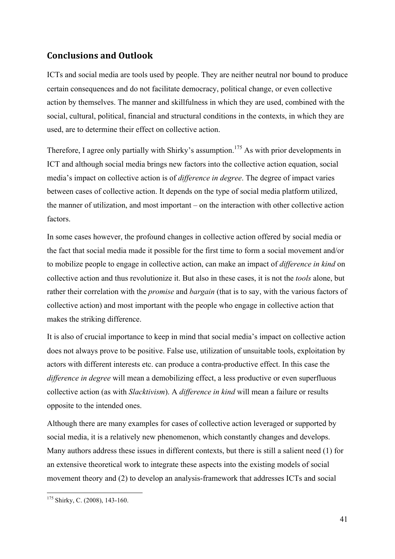# **Conclusions and Outlook**

ICTs and social media are tools used by people. They are neither neutral nor bound to produce certain consequences and do not facilitate democracy, political change, or even collective action by themselves. The manner and skillfulness in which they are used, combined with the social, cultural, political, financial and structural conditions in the contexts, in which they are used, are to determine their effect on collective action.

Therefore, I agree only partially with Shirky's assumption.<sup>175</sup> As with prior developments in ICT and although social media brings new factors into the collective action equation, social media's impact on collective action is of *difference in degree*. The degree of impact varies between cases of collective action. It depends on the type of social media platform utilized, the manner of utilization, and most important – on the interaction with other collective action factors.

In some cases however, the profound changes in collective action offered by social media or the fact that social media made it possible for the first time to form a social movement and/or to mobilize people to engage in collective action, can make an impact of *difference in kind* on collective action and thus revolutionize it. But also in these cases, it is not the *tools* alone, but rather their correlation with the *promise* and *bargain* (that is to say, with the various factors of collective action) and most important with the people who engage in collective action that makes the striking difference.

It is also of crucial importance to keep in mind that social media's impact on collective action does not always prove to be positive. False use, utilization of unsuitable tools, exploitation by actors with different interests etc. can produce a contra-productive effect. In this case the *difference in degree* will mean a demobilizing effect, a less productive or even superfluous collective action (as with *Slacktivism*). A *difference in kind* will mean a failure or results opposite to the intended ones.

Although there are many examples for cases of collective action leveraged or supported by social media, it is a relatively new phenomenon, which constantly changes and develops. Many authors address these issues in different contexts, but there is still a salient need (1) for an extensive theoretical work to integrate these aspects into the existing models of social movement theory and (2) to develop an analysis-framework that addresses ICTs and social

 <sup>175</sup> Shirky, C. (2008), 143-160.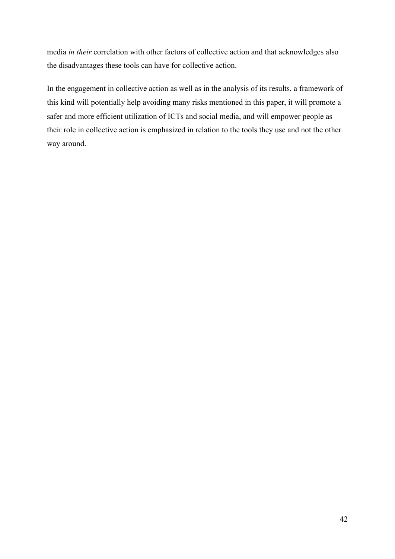media *in their* correlation with other factors of collective action and that acknowledges also the disadvantages these tools can have for collective action.

In the engagement in collective action as well as in the analysis of its results, a framework of this kind will potentially help avoiding many risks mentioned in this paper, it will promote a safer and more efficient utilization of ICTs and social media, and will empower people as their role in collective action is emphasized in relation to the tools they use and not the other way around.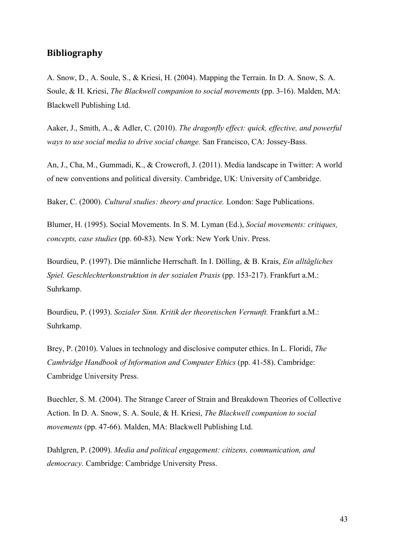# **Bibliography**

A. Snow, D., A. Soule, S., & Kriesi, H. (2004). Mapping the Terrain. In D. A. Snow, S. A. Soule, & H. Kriesi, *The Blackwell companion to social movements* (pp. 3-16). Malden, MA: Blackwell Publishing Ltd.

Aaker, J., Smith, A., & Adler, C. (2010). *The dragonfly effect: quick, effective, and powerful ways to use social media to drive social change.* San Francisco, CA: Jossey-Bass.

An, J., Cha, M., Gummadi, K., & Crowcroft, J. (2011). Media landscape in Twitter: A world of new conventions and political diversity. Cambridge, UK: University of Cambridge.

Baker, C. (2000). *Cultural studies: theory and practice.* London: Sage Publications.

Blumer, H. (1995). Social Movements. In S. M. Lyman (Ed.), *Social movements: critiques, concepts, case studies* (pp. 60-83). New York: New York Univ. Press.

Bourdieu, P. (1997). Die männliche Herrschaft. In I. Dölling, & B. Krais, *Ein alltägliches Spiel. Geschlechterkonstruktion in der sozialen Praxis* (pp. 153-217). Frankfurt a.M.: Suhrkamp.

Bourdieu, P. (1993). *Sozialer Sinn. Kritik der theoretischen Vernunft.* Frankfurt a.M.: Suhrkamp.

Brey, P. (2010). Values in technology and disclosive computer ethics. In L. Floridi, *The Cambridge Handbook of Information and Computer Ethics* (pp. 41-58). Cambridge: Cambridge University Press.

Buechler, S. M. (2004). The Strange Career of Strain and Breakdown Theories of Collective Action. In D. A. Snow, S. A. Soule, & H. Kriesi, *The Blackwell companion to social movements* (pp. 47-66). Malden, MA: Blackwell Publishing Ltd.

Dahlgren, P. (2009). *Media and political engagement: citizens, communication, and democracy.* Cambridge: Cambridge University Press.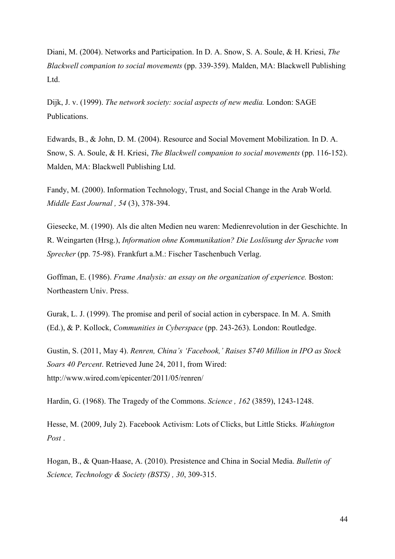Diani, M. (2004). Networks and Participation. In D. A. Snow, S. A. Soule, & H. Kriesi, *The Blackwell companion to social movements* (pp. 339-359). Malden, MA: Blackwell Publishing Ltd.

Dijk, J. v. (1999). *The network society: social aspects of new media.* London: SAGE Publications.

Edwards, B., & John, D. M. (2004). Resource and Social Movement Mobilization. In D. A. Snow, S. A. Soule, & H. Kriesi, *The Blackwell companion to social movements* (pp. 116-152). Malden, MA: Blackwell Publishing Ltd.

Fandy, M. (2000). Information Technology, Trust, and Social Change in the Arab World. *Middle East Journal , 54* (3), 378-394.

Giesecke, M. (1990). Als die alten Medien neu waren: Medienrevolution in der Geschichte. In R. Weingarten (Hrsg.), *Information ohne Kommunikation? Die Loslösung der Sprache vom Sprecher* (pp. 75-98). Frankfurt a.M.: Fischer Taschenbuch Verlag.

Goffman, E. (1986). *Frame Analysis: an essay on the organization of experience.* Boston: Northeastern Univ. Press.

Gurak, L. J. (1999). The promise and peril of social action in cyberspace. In M. A. Smith (Ed.), & P. Kollock, *Communities in Cyberspace* (pp. 243-263). London: Routledge.

Gustin, S. (2011, May 4). *Renren, China's 'Facebook,' Raises \$740 Million in IPO as Stock Soars 40 Percent*. Retrieved June 24, 2011, from Wired: http://www.wired.com/epicenter/2011/05/renren/

Hardin, G. (1968). The Tragedy of the Commons. *Science , 162* (3859), 1243-1248.

Hesse, M. (2009, July 2). Facebook Activism: Lots of Clicks, but Little Sticks. *Wahington Post* .

Hogan, B., & Quan-Haase, A. (2010). Presistence and China in Social Media. *Bulletin of Science, Technology & Society (BSTS) , 30*, 309-315.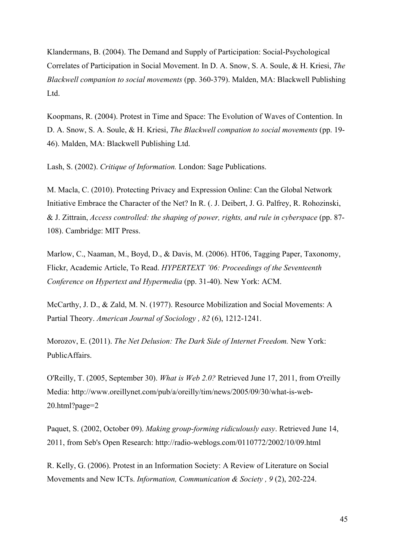Klandermans, B. (2004). The Demand and Supply of Participation: Social-Psychological Correlates of Participation in Social Movement. In D. A. Snow, S. A. Soule, & H. Kriesi, *The Blackwell companion to social movements* (pp. 360-379). Malden, MA: Blackwell Publishing Ltd.

Koopmans, R. (2004). Protest in Time and Space: The Evolution of Waves of Contention. In D. A. Snow, S. A. Soule, & H. Kriesi, *The Blackwell compation to social movements* (pp. 19- 46). Malden, MA: Blackwell Publishing Ltd.

Lash, S. (2002). *Critique of Information.* London: Sage Publications.

M. Macla, C. (2010). Protecting Privacy and Expression Online: Can the Global Network Initiative Embrace the Character of the Net? In R. (. J. Deibert, J. G. Palfrey, R. Rohozinski, & J. Zittrain, *Access controlled: the shaping of power, rights, and rule in cyberspace* (pp. 87- 108). Cambridge: MIT Press.

Marlow, C., Naaman, M., Boyd, D., & Davis, M. (2006). HT06, Tagging Paper, Taxonomy, Flickr, Academic Article, To Read. *HYPERTEXT '06: Proceedings of the Seventeenth Conference on Hypertext and Hypermedia* (pp. 31-40). New York: ACM.

McCarthy, J. D., & Zald, M. N. (1977). Resource Mobilization and Social Movements: A Partial Theory. *American Journal of Sociology , 82* (6), 1212-1241.

Morozov, E. (2011). *The Net Delusion: The Dark Side of Internet Freedom.* New York: PublicAffairs.

O'Reilly, T. (2005, September 30). *What is Web 2.0?* Retrieved June 17, 2011, from O'reilly Media: http://www.oreillynet.com/pub/a/oreilly/tim/news/2005/09/30/what-is-web-20.html?page=2

Paquet, S. (2002, October 09). *Making group-forming ridiculously easy*. Retrieved June 14, 2011, from Seb's Open Research: http://radio-weblogs.com/0110772/2002/10/09.html

R. Kelly, G. (2006). Protest in an Information Society: A Review of Literature on Social Movements and New ICTs. *Information, Communication & Society , 9* (2), 202-224.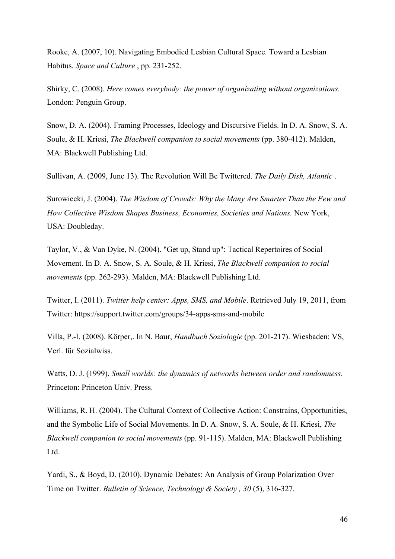Rooke, A. (2007, 10). Navigating Embodied Lesbian Cultural Space. Toward a Lesbian Habitus. *Space and Culture* , pp. 231-252.

Shirky, C. (2008). *Here comes everybody: the power of organizating without organizations.* London: Penguin Group.

Snow, D. A. (2004). Framing Processes, Ideology and Discursive Fields. In D. A. Snow, S. A. Soule, & H. Kriesi, *The Blackwell companion to social movements* (pp. 380-412). Malden, MA: Blackwell Publishing Ltd.

Sullivan, A. (2009, June 13). The Revolution Will Be Twittered. *The Daily Dish, Atlantic* .

Surowiecki, J. (2004). *The Wisdom of Crowds: Why the Many Are Smarter Than the Few and How Collective Wisdom Shapes Business, Economies, Societies and Nations.* New York, USA: Doubleday.

Taylor, V., & Van Dyke, N. (2004). "Get up, Stand up": Tactical Repertoires of Social Movement. In D. A. Snow, S. A. Soule, & H. Kriesi, *The Blackwell companion to social movements* (pp. 262-293). Malden, MA: Blackwell Publishing Ltd.

Twitter, I. (2011). *Twitter help center: Apps, SMS, and Mobile*. Retrieved July 19, 2011, from Twitter: https://support.twitter.com/groups/34-apps-sms-and-mobile

Villa, P.-I. (2008). Körper,. In N. Baur, *Handbuch Soziologie* (pp. 201-217). Wiesbaden: VS, Verl. für Sozialwiss.

Watts, D. J. (1999). *Small worlds: the dynamics of networks between order and randomness.* Princeton: Princeton Univ. Press.

Williams, R. H. (2004). The Cultural Context of Collective Action: Constrains, Opportunities, and the Symbolic Life of Social Movements. In D. A. Snow, S. A. Soule, & H. Kriesi, *The Blackwell companion to social movements* (pp. 91-115). Malden, MA: Blackwell Publishing Ltd.

Yardi, S., & Boyd, D. (2010). Dynamic Debates: An Analysis of Group Polarization Over Time on Twitter. *Bulletin of Science, Technology & Society , 30* (5), 316-327.